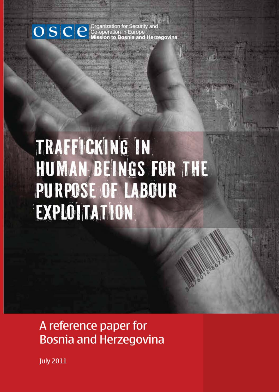# OSC eneration for Security and<br>
SC eneration in Europe<br>
Mission to Bosnia and Herzegovina

# TRAFFICKING IN HUMAN BEINGS FOR THE PURPOSE OF LABOUR EXPLOITATION

# A reference paper for **Bosnia and Herzegovina**

**July 2011**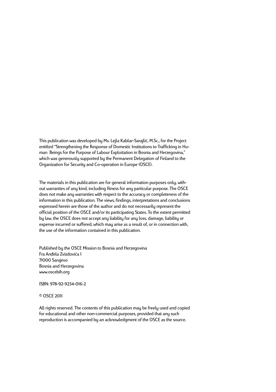This publication was developed by Ms. Lejla Kablar-Sarajlić, M.Sc., for the Project entitled "Strengthening the Response of Domestic Institutions to Trafficking in Human Beings for the Purpose of Labour Exploitation in Bosnia and Herzegovina," which was generously supported by the Permanent Delegation of Finland to the Organization for Security and Co-operation in Europe (OSCE).

The materials in this publication are for general information purposes only, without warranties of any kind, including fitness for any particular purpose. The OSCE does not make any warranties with respect to the accuracy or completeness of the information in this publication. The views, findings, interpretations and conclusions expressed herein are those of the author and do not necessarily represent the official position of the OSCE and/or its participating States. To the extent permitted by law, the OSCE does not accept any liability for any loss, damage, liability or expense incurred or suffered, which may arise as a result of, or in connection with, the use of the information contained in this publication.

Published by the OSCE Mission to Bosnia and Herzegovina Fra Anđela Zvizdovića 1 71000 Sarajevo Bosnia and Herzegovina www.oscebih.org

ISBN: 978-92-9234-016-2

© OSCE 2011

All rights reserved. The contents of this publication may be freely used and copied for educational and other non-commercial purposes, provided that any such reproduction is accompanied by an acknowledgment of the OSCE as the source.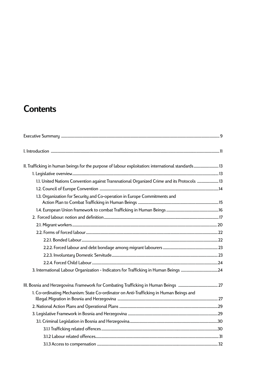# **Contents**

| II. Trafficking in human beings for the purpose of labour exploitation: international standards 13 |  |
|----------------------------------------------------------------------------------------------------|--|
|                                                                                                    |  |
| 13. United Nations Convention against Transnational Organized Crime and its Protocols              |  |
|                                                                                                    |  |
| 1.3. Organization for Security and Co-operation in Europe Commitments and                          |  |
|                                                                                                    |  |
|                                                                                                    |  |
|                                                                                                    |  |
|                                                                                                    |  |
|                                                                                                    |  |
|                                                                                                    |  |
|                                                                                                    |  |
|                                                                                                    |  |
|                                                                                                    |  |
|                                                                                                    |  |
| 1. Co-ordinating Mechanism: State Co-ordinator on Anti-Trafficking in Human Beings and             |  |
|                                                                                                    |  |
|                                                                                                    |  |
|                                                                                                    |  |
|                                                                                                    |  |
|                                                                                                    |  |
|                                                                                                    |  |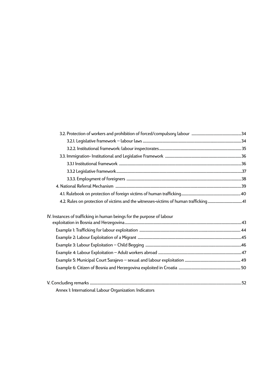| IV. Instances of trafficking in human beings for the purpose of labour |  |
|------------------------------------------------------------------------|--|
|                                                                        |  |
|                                                                        |  |
|                                                                        |  |
|                                                                        |  |
|                                                                        |  |
|                                                                        |  |
|                                                                        |  |
|                                                                        |  |
|                                                                        |  |

Annex 1: International Labour Organization: Indicators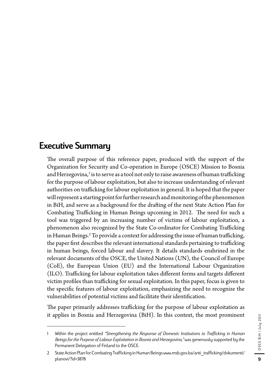# Executive Summary

The overall purpose of this reference paper, produced with the support of the Organization for Security and Co-operation in Europe (OSCE) Mission to Bosnia and Herzegovina,<sup>1</sup> is to serve as a tool not only to raise awareness of human trafficking for the purpose of labour exploitation, but also to increase understanding of relevant authorities on trafficking for labour exploitation in general. It is hoped that the paper will represent a starting point for further research and monitoring of the phenomenon in BiH, and serve as a background for the drafting of the next State Action Plan for Combating Trafficking in Human Beings upcoming in 2012. The need for such a tool was triggered by an increasing number of victims of labour exploitation, a phenomenon also recognized by the State Co-ordinator for Combating Trafficking in Human Beings.<sup>2</sup> To provide a context for addressing the issue of human trafficking, the paper first describes the relevant international standards pertaining to trafficking in human beings, forced labour and slavery. It details standards enshrined in the relevant documents of the OSCE, the United Nations (UN), the Council of Europe (CoE), the European Union (EU) and the International Labour Organization (ILO). Trafficking for labour exploitation takes different forms and targets different victim profiles than trafficking for sexual exploitation. In this paper, focus is given to the specific features of labour exploitation, emphasizing the need to recognize the vulnerabilities of potential victims and facilitate their identification.

The paper primarily addresses trafficking for the purpose of labour exploitation as it applies in Bosnia and Herzegovina (BiH). In this context, the most prominent

<sup>1</sup> Within the project entitled *"Strengthening the Response of Domestic Institutions to Trafficking in Human Beings for the Purpose of Labour Exploitation in Bosnia and Herzegovina,"* was generously supported by the Permanent Delegation of Finland to the OSCE.

<sup>2</sup> State Action Plan for Combating Trafficking in Human Beings www.msb.gov.ba/anti\_trafficking/dokumenti/ planovi/?id=3878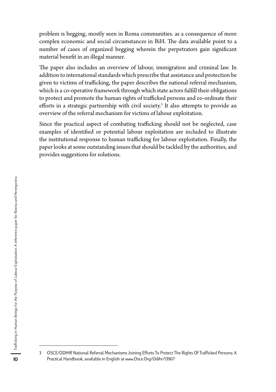problem is begging, mostly seen in Roma communities. as a consequence of more complex economic and social circumstances in BiH. The data available point to a number of cases of organized begging wherein the perpetrators gain significant material benefit in an illegal manner.

The paper also includes an overview of labour, immigration and criminal law. In addition to international standards which prescribe that assistance and protection be given to victims of trafficking, the paper describes the national referral mechanism, which is a co-operative framework through which state actors fulfill their obligations to protect and promote the human rights of trafficked persons and co-ordinate their efforts in a strategic partnership with civil society.<sup>3</sup> It also attempts to provide an overview of the referral mechanism for victims of labour exploitation.

Since the practical aspect of combating trafficking should not be neglected, case examples of identified or potential labour exploitation are included to illustrate the institutional response to human trafficking for labour exploitation. Finally, the paper looks at some outstanding issues that should be tackled by the authorities, and provides suggestions for solutions.

<sup>3</sup> OSCE/ODIHR National Referral Mechanisms Joining Efforts To Protect The Rights Of Trafficked Persons: A Practical Handbook, available in English at www.Osce.Org/Odihr/13967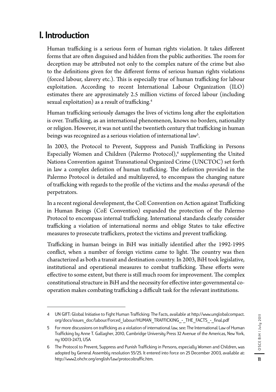# I. Introduction

Human trafficking is a serious form of human rights violation. It takes different forms that are often disguised and hidden from the public authorities. The room for deception may be attributed not only to the complex nature of the crime but also to the definitions given for the different forms of serious human rights violations (forced labour, slavery etc.). This is especially true of human trafficking for labour exploitation. According to recent International Labour Organization (ILO) estimates there are approximately 2.5 million victims of forced labour (including sexual exploitation) as a result of trafficking.<sup>4</sup>

Human trafficking seriously damages the lives of victims long after the exploitation is over. Trafficking, as an international phenomenon, knows no borders, nationality or religion. However, it was not until the twentieth century that trafficking in human beings was recognized as a serious violation of international law<sup>5</sup>.

In 2003, the Protocol to Prevent, Suppress and Punish Trafficking in Persons Especially Women and Children (Palermo Protocol),<sup>6</sup> supplementing the United Nations Convention against Transnational Organized Crime (UNCTOC) set forth in law a complex definition of human trafficking. The definition provided in the Palermo Protocol is detailed and multilayered, to encompass the changing nature of trafficking with regards to the profile of the victims and the *modus operandi* of the perpetrators.

In a recent regional development, the CoE Convention on Action against Trafficking in Human Beings (CoE Convention) expanded the protection of the Palermo Protocol to encompass internal trafficking. International standards clearly consider trafficking a violation of international norms and oblige States to take effective measures to prosecute traffickers, protect the victims and prevent trafficking.

Trafficking in human beings in BiH was initially identified after the 1992-1995 conflict, when a number of foreign victims came to light. The country was then characterized as both a transit and destination country. In 2003, BiH took legislative, institutional and operational measures to combat trafficking. These efforts were effective to some extent, but there is still much room for improvement. The complex constitutional structure in BiH and the necessity for effective inter-governmental cooperation makes combating trafficking a difficult task for the relevant institutions.

<sup>4</sup> UN GIFT: Global Initiative to Fight Human Trafficking: The Facts, available at http://www.unglobalcompact. org/docs/issues\_doc/labour/Forced\_labour/HUMAN\_TRAFFICKING\_-\_THE\_FACTS\_-\_final.pdf

<sup>5</sup> For more discussions on trafficking as a violation of international law, see: The International Law of Human Trafficking by Anne T. Gallagher, 2010, Cambridge University Press 32 Avenue of the Americas, New York, ny 10013-2473, USA

<sup>6</sup> The Protocol to Prevent, Suppress and Punish Trafficking in Persons, especially Women and Children, was adopted by General Assembly resolution 55/25. It entered into force on 25 December 2003, available at: http://www2.ohchr.org/english/law/protocoltraffic.htm.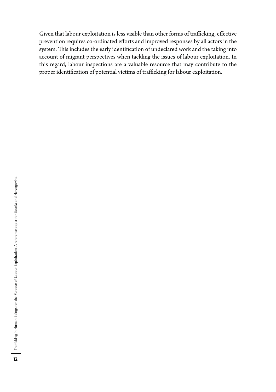Given that labour exploitation is less visible than other forms of trafficking, effective prevention requires co-ordinated efforts and improved responses by all actors in the system. This includes the early identification of undeclared work and the taking into account of migrant perspectives when tackling the issues of labour exploitation. In this regard, labour inspections are a valuable resource that may contribute to the proper identification of potential victims of trafficking for labour exploitation.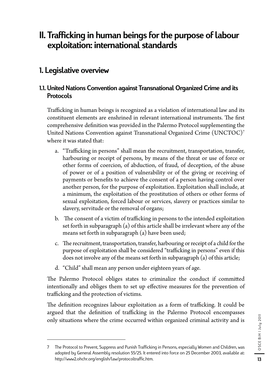# II. Trafficking in human beings for the purpose of labour exploitation: international standards

# 1. Legislative overview

# 1.1. United Nations Convention against Transnational Organized Crime and its Protocols

Trafficking in human beings is recognized as a violation of international law and its constituent elements are enshrined in relevant international instruments. The first comprehensive definition was provided in the Palermo Protocol supplementing the United Nations Convention against Transnational Organized Crime (UNCTOC)7 where it was stated that:

- a. "Trafficking in persons" shall mean the recruitment, transportation, transfer, harbouring or receipt of persons, by means of the threat or use of force or other forms of coercion, of abduction, of fraud, of deception, of the abuse of power or of a position of vulnerability or of the giving or receiving of payments or benefits to achieve the consent of a person having control over another person, for the purpose of exploitation. Exploitation shall include, at a minimum, the exploitation of the prostitution of others or other forms of sexual exploitation, forced labour or services, slavery or practices similar to slavery, servitude or the removal of organs;
- b. The consent of a victim of trafficking in persons to the intended exploitation set forth in subparagraph (a) of this article shall be irrelevant where any of the means set forth in subparagraph (a) have been used;
- c. The recruitment, transportation, transfer, harbouring or receipt of a child for the purpose of exploitation shall be considered "trafficking in persons" even if this does not involve any of the means set forth in subparagraph (a) of this article;
- d. "Child" shall mean any person under eighteen years of age.

The Palermo Protocol obliges states to criminalize the conduct if committed intentionally and obliges them to set up effective measures for the prevention of trafficking and the protection of victims.

The definition recognizes labour exploitation as a form of trafficking. It could be argued that the definition of trafficking in the Palermo Protocol encompasses only situations where the crime occurred within organized criminal activity and is

<sup>7</sup> The Protocol to Prevent, Suppress and Punish Trafficking in Persons, especially Women and Children, was adopted by General Assembly resolution 55/25. It entered into force on 25 December 2003, available at: http://www2.ohchr.org/english/law/protocoltraffic.htm.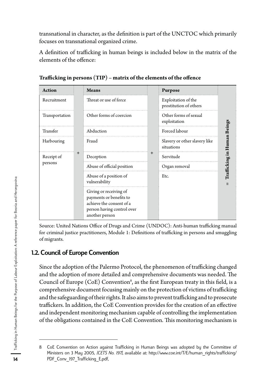transnational in character, as the definition is part of the UNCTOC which primarily focuses on transnational organized crime.

A definition of trafficking in human beings is included below in the matrix of the elements of the offence:

| <b>Action</b>  |   | <b>Means</b>                                                                                                                  | Purpose                                       |                             |
|----------------|---|-------------------------------------------------------------------------------------------------------------------------------|-----------------------------------------------|-----------------------------|
| Recruitment    |   | Threat or use of force                                                                                                        | Exploitation of the<br>prostitution of others |                             |
| Transportation |   | Other forms of coercion                                                                                                       | Other forms of sexual<br>exploitation         |                             |
| Transfer       |   | Abduction                                                                                                                     | Forced labour                                 |                             |
| Harbouring     |   | Fraud                                                                                                                         | Slavery or other slavery like<br>situations   | Trafficking in Human Beings |
| Receipt of     | + | Deception                                                                                                                     | Servitude                                     |                             |
| persons        |   | Abuse of official position                                                                                                    | Organ removal                                 |                             |
|                |   | Abuse of a position of<br>vulnerability                                                                                       | Etc.                                          | Ш                           |
|                |   | Giving or receiving of<br>payments or benefits to<br>achieve the consent of a<br>person having control over<br>another person |                                               |                             |

**Trafficking in persons (TIP) – matrix of the elements of the offence** 

Source: United Nations Office of Drugs and Crime (UNDOC): Anti-human trafficking manual for criminal justice practitioners, Module 1: Definitions of trafficking in persons and smuggling of migrants.

# 1.2. Council of Europe Convention

Since the adoption of the Palermo Protocol, the phenomenon of trafficking changed and the adoption of more detailed and comprehensive documents was needed. The Council of Europe (CoE) Convention<sup>8</sup>, as the first European treaty in this field, is a comprehensive document focusing mainly on the protection of victims of trafficking and the safeguarding of their rights. It also aims to prevent trafficking and to prosecute traffickers. In addition, the CoE Convention provides for the creation of an effective and independent monitoring mechanism capable of controlling the implementation of the obligations contained in the CoE Convention. This monitoring mechanism is

<sup>8</sup> CoE Convention on Action against Trafficking in Human Beings was adopted by the Committee of Ministers on 3 May 2005, *[CETS No. 197],* available at: http://www.coe.int/T/E/human\_rights/trafficking/ PDF Conv 197 Trafficking E.pdf,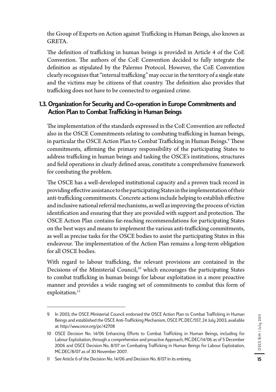the Group of Experts on Action against Trafficking in Human Beings, also known as GRETA.

The definition of trafficking in human beings is provided in Article 4 of the CoE Convention. The authors of the CoE Convention decided to fully integrate the definition as stipulated by the Palermo Protocol. However, the CoE Convention clearly recognizes that "internal trafficking" may occur in the territory of a single state and the victims may be citizens of that country. The definition also provides that trafficking does not have to be connected to organized crime.

## 1.3. Organization for Security and Co-operation in Europe Commitments and Action Plan to Combat Trafficking in Human Beings

The implementation of the standards expressed in the CoE Convention are reflected also in the OSCE Commitments relating to combating trafficking in human beings, in particular the OSCE Action Plan to Combat Trafficking in Human Beings.<sup>9</sup> These commitments, affirming the primary responsibility of the participating States to address trafficking in human beings and tasking the OSCE's institutions, structures and field operations in clearly defined areas, constitute a comprehensive framework for combating the problem.

The OSCE has a well-developed institutional capacity and a proven track record in providing effective assistance to the participating States in the implementation of their anti-trafficking commitments. Concrete actions include helping to establish effective and inclusive national referral mechanisms, as well as improving the process of victim identification and ensuring that they are provided with support and protection. The OSCE Action Plan contains far-reaching recommendations for participating States on the best ways and means to implement the various anti-trafficking commitments, as well as precise tasks for the OSCE bodies to assist the participating States in this endeavour. The implementation of the Action Plan remains a long-term obligation for all OSCE bodies.

With regard to labour trafficking, the relevant provisions are contained in the Decisions of the Ministerial Council,<sup>10</sup> which encourages the participating States to combat trafficking in human beings for labour exploitation in a more proactive manner and provides a wide ranging set of commitments to combat this form of exploitation.<sup>11</sup>

<sup>9</sup> In 2003, the OSCE Ministerial Council endorsed the OSCE Action Plan to Combat Trafficking in Human Beings and established the OSCE Anti-Trafficking Mechanism, OSCE PC.DEC/557, 24 July 2003, available at: http://www.osce.org/pc/42708

<sup>10</sup> OSCE Decision No. 14/06 Enhancing Efforts to Combat Trafficking in Human Beings, including for Labour Exploitation, through a comprehensive and proactive Approach, MC.DEC/14/06 as of 5 December 2006 and OSCE Decision No. 8/07 on Combating Trafficking in Human Beings for Labour Exploitation, MC.DEC/8/07 as of 30 November 2007.

<sup>11</sup> See Article 6 of the Decision No. 14/06 and Decision No. 8/07 in its entirety.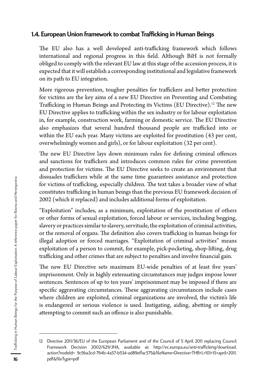## 1.4. European Union framework to combat Trafficking in Human Beings

The EU also has a well developed anti-trafficking framework which follows international and regional progress in this field. Although BiH is not formally obliged to comply with the relevant EU law at this stage of the accession process, it is expected that it will establish a corresponding institutional and legislative framework on its path to EU integration.

More rigorous prevention, tougher penalties for traffickers and better protection for victims are the key aims of a new EU Directive on Preventing and Combating Trafficking in Human Beings and Protecting its Victims (EU Directive).12 The new EU Directive applies to trafficking within the sex industry or for labour exploitation in, for example, construction work, farming or domestic service. The EU Directive also emphasizes that several hundred thousand people are trafficked into or within the EU each year. Many victims are exploited for prostitution (43 per cent, overwhelmingly women and girls), or for labour exploitation (32 per cent).

The new EU Directive lays down minimum rules for defining criminal offences and sanctions for traffickers and introduces common rules for crime prevention and protection for victims. The EU Directive seeks to create an environment that dissuades traffickers while at the same time guarantees assistance and protection for victims of trafficking, especially children. The text takes a broader view of what constitutes trafficking in human beings than the previous EU framework decision of 2002 (which it replaced) and includes additional forms of exploitation.

"Exploitation" includes, as a minimum, exploitation of the prostitution of others or other forms of sexual exploitation, forced labour or services, including begging, slavery or practices similar to slavery, servitude, the exploitation of criminal activities, or the removal of organs. The definition also covers trafficking in human beings for illegal adoption or forced marriages. "Exploitation of criminal activities" means exploitation of a person to commit, for example, pick-pocketing, shop-lifting, drug trafficking and other crimes that are subject to penalties and involve financial gain.

The new EU Directive sets maximum EU-wide penalties of at least five years' imprisonment. Only in highly extenuating circumstances may judges impose lower sentences. Sentences of up to ten years' imprisonment may be imposed if there are specific aggravating circumstances. These aggravating circumstances include cases where children are exploited, criminal organizations are involved, the victim's life is endangered or serious violence is used. Instigating, aiding, abetting or simply attempting to commit such an offence is also punishable.

<sup>12</sup> Directive 2011/36/EU of the European Parliament and of the Council of 5 April 2011 replacing Council Framework Decision 2002/629/JHA, available at: http://ec.europa.eu/anti-trafficking/download. action?nodeId= 9c9ba3cd-794b-4a57-b534-ad89effac575&fileName=Directive+THB+L+101+15+april+2011. pdf&fileType=pdf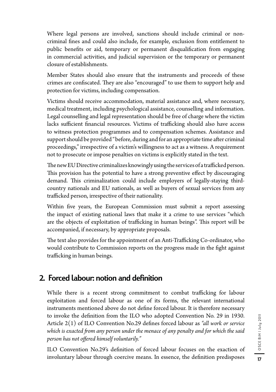Where legal persons are involved, sanctions should include criminal or noncriminal fines and could also include, for example, exclusion from entitlement to public benefits or aid, temporary or permanent disqualification from engaging in commercial activities, and judicial supervision or the temporary or permanent closure of establishments.

Member States should also ensure that the instruments and proceeds of these crimes are confiscated. They are also "encouraged" to use them to support help and protection for victims, including compensation.

Victims should receive accommodation, material assistance and, where necessary, medical treatment, including psychological assistance, counselling and information. Legal counselling and legal representation should be free of charge where the victim lacks sufficient financial resources. Victims of trafficking should also have access to witness protection programmes and to compensation schemes. Assistance and support should be provided "before, during and for an appropriate time after criminal proceedings," irrespective of a victim's willingness to act as a witness. A requirement not to prosecute or impose penalties on victims is explicitly stated in the text.

The new EU Directive criminalizes knowingly using the services of a trafficked person. This provision has the potential to have a strong preventive effect by discouraging demand. This criminalization could include employers of legally-staying thirdcountry nationals and EU nationals, as well as buyers of sexual services from any trafficked person, irrespective of their nationality.

Within five years, the European Commission must submit a report assessing the impact of existing national laws that make it a crime to use services "which are the objects of exploitation of trafficking in human beings". This report will be accompanied, if necessary, by appropriate proposals.

The text also provides for the appointment of an Anti-Trafficking Co-ordinator, who would contribute to Commission reports on the progress made in the fight against trafficking in human beings.

# 2. Forced labour: notion and definition

While there is a recent strong commitment to combat trafficking for labour exploitation and forced labour as one of its forms, the relevant international instruments mentioned above do not define forced labour. It is therefore necessary to invoke the definition from the ILO who adopted Convention No. 29 in 1930. Article 2(1) of ILO Convention No.29 defines forced labour as *"all work or service which is exacted from any person under the menace of any penalty and for which the said person has not offered himself voluntarily."*

ILO Convention No.29's definition of forced labour focuses on the exaction of involuntary labour through coercive means. In essence, the definition predisposes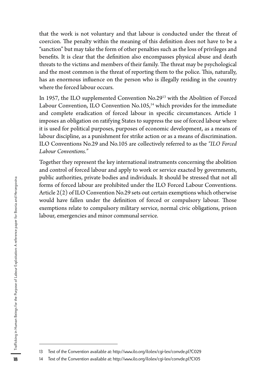that the work is not voluntary and that labour is conducted under the threat of coercion. The penalty within the meaning of this definition does not have to be a "sanction" but may take the form of other penalties such as the loss of privileges and benefits. It is clear that the definition also encompasses physical abuse and death threats to the victims and members of their family. The threat may be psychological and the most common is the threat of reporting them to the police. This, naturally, has an enormous influence on the person who is illegally residing in the country where the forced labour occurs.

In 1957, the ILO supplemented Convention No.2913 with the Abolition of Forced Labour Convention, ILO Convention No.105,<sup>14</sup> which provides for the immediate and complete eradication of forced labour in specific circumstances. Article 1 imposes an obligation on ratifying States to suppress the use of forced labour where it is used for political purposes, purposes of economic development, as a means of labour discipline, as a punishment for strike action or as a means of discrimination. ILO Conventions No.29 and No.105 are collectively referred to as the *"ILO Forced Labour Conventions."*

Together they represent the key international instruments concerning the abolition and control of forced labour and apply to work or service exacted by governments, public authorities, private bodies and individuals. It should be stressed that not all forms of forced labour are prohibited under the ILO Forced Labour Conventions. Article 2(2) of ILO Convention No.29 sets out certain exemptions which otherwise would have fallen under the definition of forced or compulsory labour. Those exemptions relate to compulsory military service, normal civic obligations, prison labour, emergencies and minor communal service.

<sup>13</sup> Text of the Convention available at: http://www.ilo.org/ilolex/cgi-lex/convde.pl?C029

<sup>14</sup> Text of the Convention available at: http://www.ilo.org/ilolex/cgi-lex/convde.pl?C105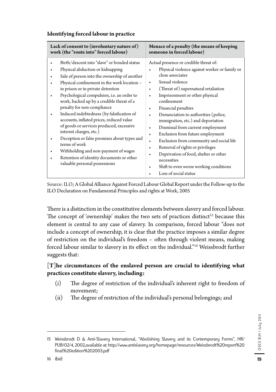| someone in forced labour)                                                                                                                                                                                                                                                                                                                                                                                                                                                                                                                                                                                       |
|-----------------------------------------------------------------------------------------------------------------------------------------------------------------------------------------------------------------------------------------------------------------------------------------------------------------------------------------------------------------------------------------------------------------------------------------------------------------------------------------------------------------------------------------------------------------------------------------------------------------|
| Actual presence or credible threat of:<br>Physical violence against worker or family or<br>close associates<br>Sexual violence<br>(Threat of) supernatural retaliation<br>Imprisonment or other physical<br>confinement<br>Financial penalties<br>Denunciation to authorities (police,<br>immigration, etc.) and deportation<br>Dismissal from current employment<br>Exclusion from future employment<br>Exclusion from community and social life<br>Removal of rights or privileges<br>Deprivation of food, shelter or other<br>necessities<br>Shift to even worse working conditions<br>Loss of social status |
|                                                                                                                                                                                                                                                                                                                                                                                                                                                                                                                                                                                                                 |

#### **Identifying forced labour in practice**

Source: ILO; A Global Alliance Against Forced Labour Global Report under the Follow-up to the ILO Declaration on Fundamental Principles and rights at Work, 2005

There is a distinction in the constitutive elements between slavery and forced labour. The concept of 'ownership' makes the two sets of practices distinct<sup>15</sup> because this element is central to any case of slavery. In comparison, forced labour "does not include a concept of ownership, it is clear that the practice imposes a similar degree of restriction on the individual's freedom – often through violent means, making forced labour similar to slavery in its effect on the individual."16 Weissbrodt further suggests that:

## **[T]he circumstances of the enslaved person are crucial to identifying what practices constitute slavery, including:**

- (i) The degree of restriction of the individual's inherent right to freedom of movement;
- (ii) The degree of restriction of the individual's personal belongings; and

<sup>15</sup> Weissbrodt D & Anti-Slavery International, "Abolishing Slavery and its Contemporary Forms", HR/ PUB/02/4, 2002,available at: http://www.antislavery.org/homepage/resources/Weissbrodt%20report%20 final%20edition%202003.pdf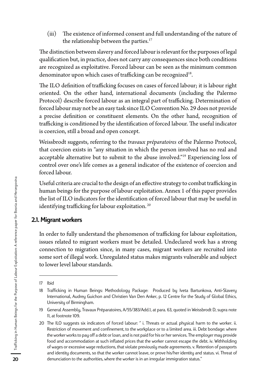(iii) The existence of informed consent and full understanding of the nature of the relationship between the parties.<sup>17</sup>

The distinction between slavery and forced labour is relevant for the purposes of legal qualification but, in practice, does not carry any consequences since both conditions are recognized as exploitative. Forced labour can be seen as the minimum common denominator upon which cases of trafficking can be recognized<sup>18</sup>.

The ILO definition of trafficking focuses on cases of forced labour; it is labour right oriented. On the other hand, international documents (including the Palermo Protocol) describe forced labour as an integral part of trafficking. Determination of forced labour may not be an easy task since ILO Convention No. 29 does not provide a precise definition or constituent elements. On the other hand, recognition of trafficking is conditioned by the identification of forced labour. The useful indicator is coercion, still a broad and open concept.

Weissbrodt suggests, referring to the *travaux préparatoires* of the Palermo Protocol, that coercion exists in "any situation in which the person involved has no real and acceptable alternative but to submit to the abuse involved."19 Experiencing loss of control over one's life comes as a general indicator of the existence of coercion and forced labour.

Useful criteria are crucial to the design of an effective strategy to combat trafficking in human beings for the purpose of labour exploitation. Annex 1 of this paper provides the list of ILO indicators for the identification of forced labour that may be useful in identifying trafficking for labour exploitation.<sup>20</sup>

#### 2.1. Migrant workers

In order to fully understand the phenomenon of trafficking for labour exploitation, issues related to migrant workers must be detailed. Undeclared work has a strong connection to migration since, in many cases, migrant workers are recruited into some sort of illegal work. Unregulated status makes migrants vulnerable and subject to lower level labour standards.

<sup>17</sup> Ibid

<sup>18</sup> Trafficking in Human Beings: Methodology Package: Produced by Iveta Bartunkova, Anti-Slavery International, Audrey Guichon and Christien Van Den Anker, p. 12 Centre for the Study of Global Ethics, University of Birmingham.

<sup>19</sup> General Assembly, Travaux Préparatoires, A/55/383/Add.1, at para. 63, quoted in Weissbrodt D, supra note 11, at footnote 109.

<sup>20</sup> The ILO suggests six indicators of forced labour: '' i. Threats or actual physical harm to the worker. ii. Restriction of movement and confinement, to the workplace or to a limited area. iii. Debt bondage: where the worker works to pay off a debt or loan, and is not paid for his or her services. The employer may provide food and accommodation at such inflated prices that the worker cannot escape the debt. iv. Withholding of wages or excessive wage reductions, that violate previously made agreements. v. Retention of passports and identity documents, so that the worker cannot leave, or prove his/her identity and status. vi. Threat of denunciation to the authorities, where the worker is in an irregular immigration status.''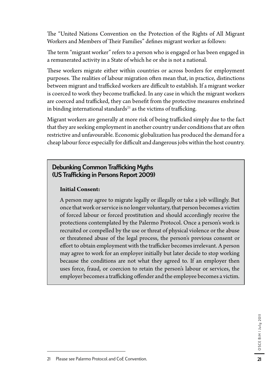The "United Nations Convention on the Protection of the Rights of All Migrant Workers and Members of Their Families" defines migrant worker as follows:

The term "migrant worker" refers to a person who is engaged or has been engaged in a remunerated activity in a State of which he or she is not a national.

These workers migrate either within countries or across borders for employment purposes. The realities of labour migration often mean that, in practice, distinctions between migrant and trafficked workers are difficult to establish. If a migrant worker is coerced to work they become trafficked. In any case in which the migrant workers are coerced and trafficked, they can benefit from the protective measures enshrined in binding international standards $^{21}$  as the victims of trafficking.

Migrant workers are generally at more risk of being trafficked simply due to the fact that they are seeking employment in another country under conditions that are often restrictive and unfavourable. Economic globalization has produced the demand for a cheap labour force especially for difficult and dangerous jobs within the host country.

# Debunking Common Trafficking Myths (US Trafficking in Persons Report 2009)

#### **Initial Consent:**

A person may agree to migrate legally or illegally or take a job willingly. But once that work or service is no longer voluntary, that person becomes a victim of forced labour or forced prostitution and should accordingly receive the protections contemplated by the Palermo Protocol. Once a person's work is recruited or compelled by the use or threat of physical violence or the abuse or threatened abuse of the legal process, the person's previous consent or effort to obtain employment with the trafficker becomes irrelevant. A person may agree to work for an employer initially but later decide to stop working because the conditions are not what they agreed to. If an employer then uses force, fraud, or coercion to retain the person's labour or services, the employer becomes a trafficking offender and the employee becomes a victim.

<sup>21</sup> Please see Palermo Protocol and CoE Convention.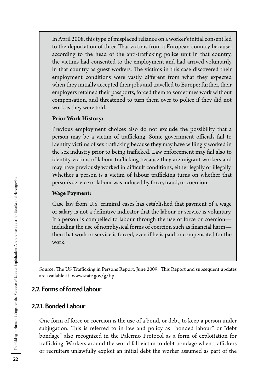In April 2008, this type of misplaced reliance on a worker's initial consent led to the deportation of three Thai victims from a European country because, according to the head of the anti-trafficking police unit in that country, the victims had consented to the employment and had arrived voluntarily in that country as guest workers. The victims in this case discovered their employment conditions were vastly different from what they expected when they initially accepted their jobs and travelled to Europe; further, their employers retained their passports, forced them to sometimes work without compensation, and threatened to turn them over to police if they did not work as they were told.

#### **Prior Work History:**

Previous employment choices also do not exclude the possibility that a person may be a victim of trafficking. Some government officials fail to identify victims of sex trafficking because they may have willingly worked in the sex industry prior to being trafficked. Law enforcement may fail also to identify victims of labour trafficking because they are migrant workers and may have previously worked in difficult conditions, either legally or illegally. Whether a person is a victim of labour trafficking turns on whether that person's service or labour was induced by force, fraud, or coercion.

#### **Wage Payment:**

Case law from U.S. criminal cases has established that payment of a wage or salary is not a definitive indicator that the labour or service is voluntary. If a person is compelled to labour through the use of force or coercion including the use of nonphysical forms of coercion such as financial harm then that work or service is forced, even if he is paid or compensated for the work.

Source: The US Trafficking in Persons Report, June 2009. This Report and subsequent updates are available at: www.state.gov/g/tip

## 2.2. Forms of forced labour

#### 2.2.1. Bonded Labour

One form of force or coercion is the use of a bond, or debt, to keep a person under subjugation. This is referred to in law and policy as "bonded labour" or "debt bondage" also recognized in the Palermo Protocol as a form of exploitation for trafficking. Workers around the world fall victim to debt bondage when traffickers or recruiters unlawfully exploit an initial debt the worker assumed as part of the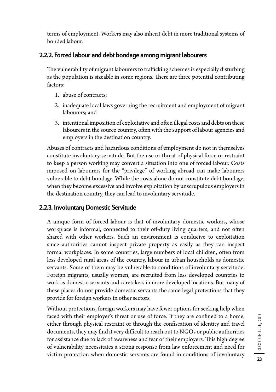terms of employment. Workers may also inherit debt in more traditional systems of bonded labour.

# 2.2.2. Forced labour and debt bondage among migrant labourers

The vulnerability of migrant labourers to trafficking schemes is especially disturbing as the population is sizeable in some regions. There are three potential contributing factors:

- 1. abuse of contracts;
- 2. inadequate local laws governing the recruitment and employment of migrant labourers; and
- 3. intentional imposition of exploitative and often illegal costs and debts on these labourers in the source country, often with the support of labour agencies and employers in the destination country.

Abuses of contracts and hazardous conditions of employment do not in themselves constitute involuntary servitude. But the use or threat of physical force or restraint to keep a person working may convert a situation into one of forced labour. Costs imposed on labourers for the "privilege" of working abroad can make labourers vulnerable to debt bondage. While the costs alone do not constitute debt bondage, when they become excessive and involve exploitation by unscrupulous employers in the destination country, they can lead to involuntary servitude.

## 2.2.3. Involuntary Domestic Servitude

A unique form of forced labour is that of involuntary domestic workers, whose workplace is informal, connected to their off-duty living quarters, and not often shared with other workers. Such an environment is conducive to exploitation since authorities cannot inspect private property as easily as they can inspect formal workplaces. In some countries, large numbers of local children, often from less developed rural areas of the country, labour in urban households as domestic servants. Some of them may be vulnerable to conditions of involuntary servitude. Foreign migrants, usually women, are recruited from less developed countries to work as domestic servants and caretakers in more developed locations. But many of these places do not provide domestic servants the same legal protections that they provide for foreign workers in other sectors.

Without protections, foreign workers may have fewer options for seeking help when faced with their employer's threat or use of force. If they are confined to a home, either through physical restraint or through the confiscation of identity and travel documents, they may find it very difficult to reach out to NGOs or public authorities for assistance due to lack of awareness and fear of their employers. This high degree of vulnerability necessitates a strong response from law enforcement and need for victim protection when domestic servants are found in conditions of involuntary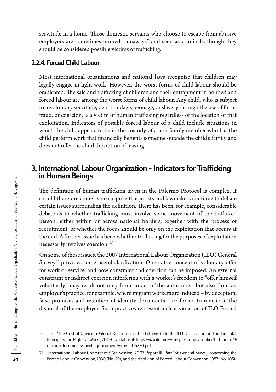servitude in a home. Those domestic servants who choose to escape from abusive employers are sometimes termed "runaways" and seen as criminals, though they should be considered possible victims of trafficking.

#### 2.2.4. Forced Child Labour

Most international organizations and national laws recognize that children may legally engage in light work. However, the worst forms of child labour should be eradicated. The sale and trafficking of children and their entrapment in bonded and forced labour are among the worst forms of child labour. Any child, who is subject to involuntary servitude, debt bondage, peonage, or slavery through the use of force, fraud, or coercion, is a victim of human trafficking regardless of the location of that exploitation. Indicators of possible forced labour of a child include situations in which the child appears to be in the custody of a non-family member who has the child perform work that financially benefits someone outside the child's family and does not offer the child the option of leaving.

# 3. International Labour Organization - Indicators for Trafficking in Human Beings

The definition of human trafficking given in the Palermo Protocol is complex. It should therefore come as no surprise that jurists and lawmakers continue to debate certain issues surrounding the definition. There has been, for example, considerable debate as to whether trafficking must involve some movement of the trafficked person, either within or across national borders, together with the process of recruitment, or whether the focus should be only on the exploitation that occurs at the end. A further issue has been whether trafficking for the purposes of exploitation necessarily involves coercion. 22

On some of these issues, the 2007 International Labour Organization (ILO) General Survey<sup>23</sup> provides some useful clarification. One is the concept of voluntary offer for work or service, and how constraint and coercion can be imposed. An external constraint or indirect coercion interfering with a worker's freedom to "offer himself voluntarily" may result not only from an act of the authorities, but also from an employer's practice, for example, where migrant workers are induced – by deception, false promises and retention of identity documents – or forced to remain at the disposal of the employer. Such practices represent a clear violation of ILO Forced

<sup>22</sup> ILO, "The Cost of Coercion: Global Report under the Follow-Up to the ILO Declaration on Fundamental Principles and Rights at Work", 2009, available at: http://www.ilo.org/wcmsp5/groups/public/@ed\_norm/@ relconf/documents/meetingdocument/wcms\_106230.pdf

<sup>23</sup> International Labour Conference 96th Session, 2007 Report III (Part 1B): General Survey concerning the Forced Labour Convention, 1930 (No. 29), and the Abolition of Forced Labour Convention, 1957 (No. 105)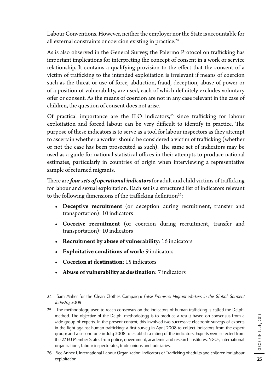Labour Conventions. However, neither the employer nor the State is accountable for all external constraints or coercion existing in practice.<sup>24</sup>

As is also observed in the General Survey, the Palermo Protocol on trafficking has important implications for interpreting the concept of consent in a work or service relationship. It contains a qualifying provision to the effect that the consent of a victim of trafficking to the intended exploitation is irrelevant if means of coercion such as the threat or use of force, abduction, fraud, deception, abuse of power or of a position of vulnerability, are used, each of which definitely excludes voluntary offer or consent. As the means of coercion are not in any case relevant in the case of children, the question of consent does not arise.

Of practical importance are the ILO indicators, $25$  since trafficking for labour exploitation and forced labour can be very difficult to identify in practice. The purpose of these indicators is to serve as a tool for labour inspectors as they attempt to ascertain whether a worker should be considered a victim of trafficking (whether or not the case has been prosecuted as such). The same set of indicators may be used as a guide for national statistical offices in their attempts to produce national estimates, particularly in countries of origin when interviewing a representative sample of returned migrants.

There are *four sets of operational indicators* for adult and child victims of trafficking for labour and sexual exploitation. Each set is a structured list of indicators relevant to the following dimensions of the trafficking definition<sup>26</sup>:

- **r Deceptive recruitment** (or deception during recruitment, transfer and transportation): 10 indicators
- **r Coercive recruitment** (or coercion during recruitment, transfer and transportation): 10 indicators
- **r Recruitment by abuse of vulnerability**: 16 indicators
- **r Exploitative conditions of work**: 9 indicators
- **r Coercion at destination**: 15 indicators
- **r Abuse of vulnerability at destination**: 7 indicators

<sup>24</sup> Sam Maher for the Clean Clothes Campaign: *False Promises: Migrant Workers in the Global Garment Industry,* 2009

<sup>25</sup> The methodology used to reach consensus on the indicators of human trafficking is called the Delphi method. The objective of the Delphi methodology is to produce a result based on consensus from a wide group of experts. In the present context, this involved two successive electronic surveys of experts in the fight against human trafficking: a first survey in April 2008 to collect indicators from the expert group; and a second one in July 2008 to establish a rating of the indicators. Experts were selected from the 27 EU Member States from police, government, academic and research institutes, NGOs, international organizations, labour inspectorates, trade unions and judiciaries.

<sup>26</sup> See Annex 1. International Labour Organization: Indicators of Trafficking of adults and children for labour exploitation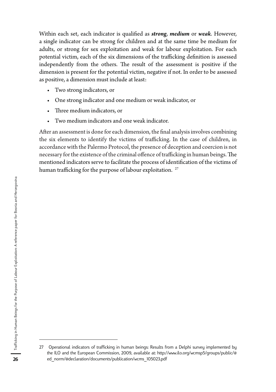Within each set, each indicator is qualified as *strong*, *medium* or *weak*. However, a single indicator can be strong for children and at the same time be medium for adults, or strong for sex exploitation and weak for labour exploitation. For each potential victim, each of the six dimensions of the trafficking definition is assessed independently from the others. The result of the assessment is positive if the dimension is present for the potential victim, negative if not. In order to be assessed as positive, a dimension must include at least:

- Two strong indicators, or
- r One strong indicator and one medium or weak indicator, or
- Three medium indicators, or
- Two medium indicators and one weak indicator.

After an assessment is done for each dimension, the final analysis involves combining the six elements to identify the victims of trafficking. In the case of children, in accordance with the Palermo Protocol, the presence of deception and coercion is not necessary for the existence of the criminal offence of trafficking in human beings. The mentioned indicators serve to facilitate the process of identification of the victims of human trafficking for the purpose of labour exploitation.<sup>27</sup>

<sup>27</sup> Operational indicators of trafficking in human beings: Results from a Delphi survey implemented by the ILO and the European Commission, 2009, available at: http://www.ilo.org/wcmsp5/groups/public/@ ed\_norm/@declaration/documents/publication/wcms\_105023.pdf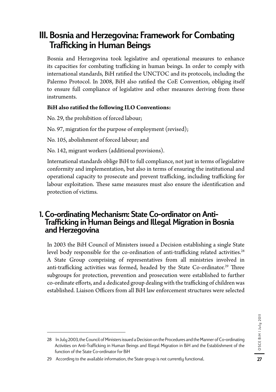# III. Bosnia and Herzegovina: Framework for Combating Trafficking in Human Beings

Bosnia and Herzegovina took legislative and operational measures to enhance its capacities for combating trafficking in human beings. In order to comply with international standards, BiH ratified the UNCTOC and its protocols, including the Palermo Protocol. In 2008, BiH also ratified the CoE Convention, obliging itself to ensure full compliance of legislative and other measures deriving from these instruments.

## **BiH also ratified the following ILO Conventions:**

No. 29, the prohibition of forced labour;

No. 97, migration for the purpose of employment (revised);

No. 105, abolishment of forced labour; and

No. 142, migrant workers (additional provisions).

International standards oblige BiH to full compliance, not just in terms of legislative conformity and implementation, but also in terms of ensuring the institutional and operational capacity to prosecute and prevent trafficking, including trafficking for labour exploitation. These same measures must also ensure the identification and protection of victims.

# 1. Co-ordinating Mechanism: State Co-ordinator on Anti-Trafficking in Human Beings and Illegal Migration in Bosnia and Herzegovina

In 2003 the BiH Council of Ministers issued a Decision establishing a single State level body responsible for the co-ordination of anti-trafficking related activities.<sup>28</sup> A State Group comprising of representatives from all ministries involved in anti-trafficking activities was formed, headed by the State Co-ordinator.<sup>29</sup> Three subgroups for protection, prevention and prosecution were established to further co-ordinate efforts, and a dedicated group dealing with the trafficking of children was established. Liaison Officers from all BiH law enforcement structures were selected

<sup>28</sup> In July 2003, the Council of Ministers issued a Decision on the Procedures and the Manner of Co-ordinating Activities on Anti-Trafficking in Human Beings and Illegal Migration in BiH and the Establishment of the function of the State Co-ordinator for BiH

<sup>29</sup> According to the available information, the State group is not currently functional.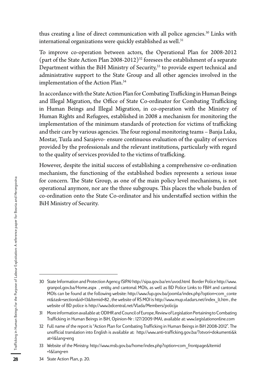thus creating a line of direct communication with all police agencies.<sup>30</sup> Links with international organizations were quickly established as well.<sup>31</sup>

To improve co-operation between actors, the Operational Plan for 2008-2012 (part of the State Action Plan 2008-2012)<sup>32</sup> foresees the establishment of a separate Department within the BiH Ministry of Security,<sup>33</sup> to provide expert technical and administrative support to the State Group and all other agencies involved in the implementation of the Action Plan.34

In accordance with the State Action Plan for Combating Trafficking in Human Beings and Illegal Migration, the Office of State Co-ordinator for Combating Trafficking in Human Beings and Illegal Migration, in co-operation with the Ministry of Human Rights and Refugees, established in 2008 a mechanism for monitoring the implementation of the minimum standards of protection for victims of trafficking and their care by various agencies. The four regional monitoring teams – Banja Luka, Mostar, Tuzla and Sarajevo- ensure continuous evaluation of the quality of services provided by the professionals and the relevant institutions, particularly with regard to the quality of services provided to the victims of trafficking.

However, despite the initial success of establishing a comprehensive co-ordination mechanism, the functioning of the established bodies represents a serious issue for concern. The State Group, as one of the main policy level mechanisms, is not operational anymore, nor are the three subgroups. This places the whole burden of co-ordination onto the State Co-ordinator and his understaffed section within the BiH Ministry of Security.

<sup>30</sup> State Information and Protection Agency (SIPA) http://sipa.gov.ba/en/uvod.html Border Police http://www. granpol.gov.ba/Home.aspx , entity and cantonal MOIs, as well as BD Police Links to FBiH and cantonal MOIs can be found at the following website: http://www.fup.gov.ba/joomla/index.php?option=com\_conte nt&task=section&id=13&Itemid=82 , the website of RS MOI is http://www.mup.vladars.net/index\_lt.htm , the website of BD police is http://www.bdcentral.net/Vlada/Members/policija

<sup>31</sup> More information available at: ODIHR and Council of Europe, Review of Legislation Pertaining to Combating Trafficking in Human Beings in BiH, Opinion-Nr : 127/2009 (MA), available at: www.legislationonline.com

<sup>32</sup> Full name of the report is "Action Plan for Combating Trafficking in Human Beings in BiH 2008-2012". The unofficial translation into English is available at: http://www.anti-trafficking.gov.ba/?otvori=dokumenti&k at=1&lang=eng

<sup>33</sup> Website of the Ministry: http://www.msb.gov.ba/home/index.php?option=com\_frontpage&Itemid =1&lang=en

<sup>34</sup> State Action Plan, p. 20.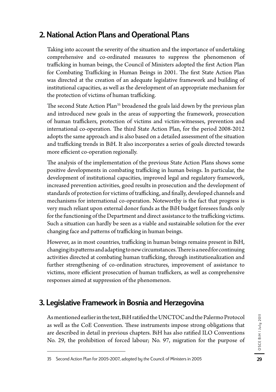# 2. National Action Plans and Operational Plans

Taking into account the severity of the situation and the importance of undertaking comprehensive and co-ordinated measures to suppress the phenomenon of trafficking in human beings, the Council of Ministers adopted the first Action Plan for Combating Trafficking in Human Beings in 2001. The first State Action Plan was directed at the creation of an adequate legislative framework and building of institutional capacities, as well as the development of an appropriate mechanism for the protection of victims of human trafficking.

The second State Action Plan<sup>35</sup> broadened the goals laid down by the previous plan and introduced new goals in the areas of supporting the framework, prosecution of human traffickers, protection of victims and victim-witnesses, prevention and international co-operation. The third State Action Plan, for the period 2008-2012 adopts the same approach and is also based on a detailed assessment of the situation and trafficking trends in BiH. It also incorporates a series of goals directed towards more efficient co-operation regionally.

The analysis of the implementation of the previous State Action Plans shows some positive developments in combating trafficking in human beings. In particular, the development of institutional capacities, improved legal and regulatory framework, increased prevention activities, good results in prosecution and the development of standards of protection for victims of trafficking, and finally, developed channels and mechanisms for international co-operation. Noteworthy is the fact that progress is very much reliant upon external donor funds as the BiH budget foresees funds only for the functioning of the Department and direct assistance to the trafficking victims. Such a situation can hardly be seen as a viable and sustainable solution for the ever changing face and patterns of trafficking in human beings.

However, as in most countries, trafficking in human beings remains present in BiH, changing its patterns and adapting to new circumstances. There is a need for continuing activities directed at combating human trafficking, through institutionalization and further strengthening of co-ordination structures, improvement of assistance to victims, more efficient prosecution of human traffickers, as well as comprehensive responses aimed at suppression of the phenomenon.

# 3. Legislative Framework in Bosnia and Herzegovina

As mentioned earlier in the text, BiH ratified the UNCTOC and the Palermo Protocol as well as the CoE Convention. These instruments impose strong obligations that are described in detail in previous chapters. BiH has also ratified ILO Conventions No. 29, the prohibition of forced labour; No. 97, migration for the purpose of

<sup>35</sup> Second Action Plan for 2005-2007, adopted by the Council of Ministers in 2005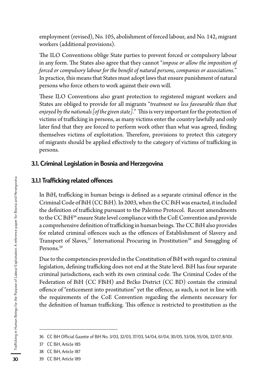employment (revised), No. 105, abolishment of forced labour, and No. 142, migrant workers (additional provisions).

The ILO Conventions oblige State parties to prevent forced or compulsory labour in any form. The States also agree that they cannot "*impose or allow the imposition of forced or compulsory labour for the benefit of natural persons, companies or associations.*" In practice, this means that States must adopt laws that ensure punishment of natural persons who force others to work against their own will.

These ILO Conventions also grant protection to registered migrant workers and States are obliged to provide for all migrants "*treatment no less favourable than that enjoyed by the nationals [of the given state].*" This is very important for the protection of victims of trafficking in persons, as many victims enter the country lawfully and only later find that they are forced to perform work other than what was agreed, finding themselves victims of exploitation. Therefore, provisions to protect this category of migrants should be applied effectively to the category of victims of trafficking in persons.

#### 3.1. Criminal Legislation in Bosnia and Herzegovina

#### 3.1.1 Trafficking related offences

In BiH, trafficking in human beings is defined as a separate criminal offence in the Criminal Code of BiH (CC BiH). In 2003, when the CC BiH was enacted, it included the definition of trafficking pursuant to the Palermo Protocol. Recent amendments to the CC BiH<sup>36</sup> ensure State level compliance with the CoE Convention and provide a comprehensive definition of trafficking in human beings. The CC BiH also provides for related criminal offences such as the offences of Establishment of Slavery and Transport of Slaves,<sup>37</sup> International Procuring in Prostitution<sup>38</sup> and Smuggling of Persons.39

Due to the competencies provided in the Constitution of BiH with regard to criminal legislation, defining trafficking does not end at the State level. BiH has four separate criminal jurisdictions, each with its own criminal code. The Criminal Codes of the Federation of BiH (CC FBiH) and Brčko District (CC BD) contain the criminal offence of "enticement into prostitution" yet the offence, as such, is not in line with the requirements of the CoE Convention regarding the elements necessary for the definition of human trafficking. This offence is restricted to prostitution as the

<sup>36</sup> CC BiH Official Gazette of BiH No. 3/03, 32/03, 37/03, 54/04, 61/04, 30/05, 53/06, 55/06, 32/07, 8/10).

<sup>37</sup> CC BiH, Article 185

<sup>38</sup> CC BiH, Article 187

<sup>39</sup> CC BiH, Article 189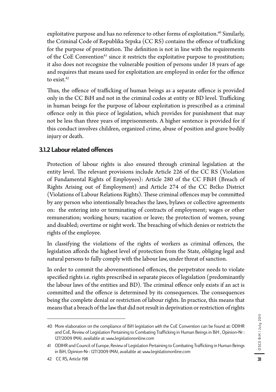exploitative purpose and has no reference to other forms of exploitation.<sup>40</sup> Similarly, the Criminal Code of Republika Srpska (CC RS) contains the offence of trafficking for the purpose of prostitution. The definition is not in line with the requirements of the CoE Convention<sup>41</sup> since it restricts the exploitative purpose to prostitution; it also does not recognize the vulnerable position of persons under 18 years of age and requires that means used for exploitation are employed in order for the offence to exist.<sup>42</sup>

Thus, the offence of trafficking of human beings as a separate offence is provided only in the CC BiH and not in the criminal codes at entity or BD level. Trafficking in human beings for the purpose of labour exploitation is prescribed as a criminal offence only in this piece of legislation, which provides for punishment that may not be less than three years of imprisonments. A higher sentence is provided for if this conduct involves children, organized crime, abuse of position and grave bodily injury or death.

# 3.1.2 Labour related offences

Protection of labour rights is also ensured through criminal legislation at the entity level. The relevant provisions include Article 226 of the CC RS (Violation of Fundamental Rights of Employees): Article 280 of the CC FBiH (Breach of Rights Arising out of Employment) and Article 274 of the CC Brčko District (Violations of Labour Relations Rights). These criminal offences may be committed by any person who intentionally breaches the laws, bylaws or collective agreements on: the entering into or terminating of contracts of employment; wages or other remuneration; working hours; vacation or leave; the protection of women, young and disabled; overtime or night work. The breaching of which denies or restricts the rights of the employee.

In classifying the violations of the rights of workers as criminal offences, the legislation affords the highest level of protection from the State, obliging legal and natural persons to fully comply with the labour law, under threat of sanction.

In order to commit the abovementioned offences, the perpetrator needs to violate specified rights i.e. rights prescribed in separate pieces of legislation (predominantly the labour laws of the entities and BD). The criminal offence only exists if an act is committed and the offence is determined by its consequences. The consequences being the complete denial or restriction of labour rights. In practice, this means that means that a breach of the law that did not result in deprivation or restriction of rights

<sup>40</sup> More elaboration on the compliance of BiH legislation with the CoE Convention can be found at: ODIHR and CoE, Review of Legislation Pertaining to Combating Trafficking in Human Beings in BiH , Opinion-Nr : 127/2009 (MA), available at: www.legislationonline.com

<sup>41</sup> ODIHR and Council of Europe, Review of Legislation Pertaining to Combating Trafficking in Human Beings in BiH, Opinion-Nr : 127/2009 (MA), available at: www.legislationonline.com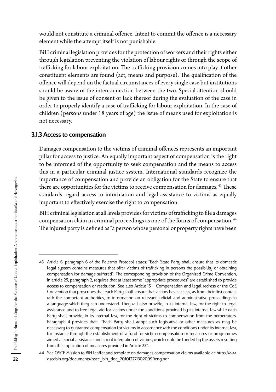would not constitute a criminal offence. Intent to commit the offence is a necessary element while the attempt itself is not punishable.

BiH criminal legislation provides for the protection of workers and their rights either through legislation preventing the violation of labour rights or through the scope of trafficking for labour exploitation. The trafficking provision comes into play if other constituent elements are found (act, means and purpose). The qualification of the offence will depend on the factual circumstances of every single case but institutions should be aware of the interconnection between the two. Special attention should be given to the issue of consent or lack thereof during the evaluation of the case in order to properly identify a case of trafficking for labour exploitation. In the case of children (persons under 18 years of age) the issue of means used for exploitation is not necessary.

#### 3.1.3 Access to compensation

Damages compensation to the victims of criminal offences represents an important pillar for access to justice. An equally important aspect of compensation is the right to be informed of the opportunity to seek compensation and the means to access this in a particular criminal justice system. International standards recognize the importance of compensation and provide an obligation for the State to ensure that there are opportunities for the victims to receive compensation for damages. 43 These standards regard access to information and legal assistance to victims as equally important to effectively exercise the right to compensation.

BiH criminal legislation at all levels provides for victims of trafficking to file a damages compensation claim in criminal proceedings as one of the forms of compensation. 44 The injured party is defined as "a person whose personal or property rights have been

<sup>43</sup> Article 6, paragraph 6 of the Palermo Protocol states: "Each State Party shall ensure that its domestic legal system contains measures that offer victims of trafficking in persons the possibility of obtaining compensation for damage suffered". The corresponding provision of the Organized Crime Convention, in article 25, paragraph 2, requires that at least some "appropriate procedures" are established to provide access to compensation or restitution. See also Article 15 – Compensation and legal redress of the CoE Convention that proscribes that each Party shall ensure that victims have access, as from their first contact with the competent authorities, to information on relevant judicial and administrative proceedings in a language which they can understand. They will also provide, in its internal law, for the right to legal assistance and to free legal aid for victims under the conditions provided by its internal law while each Party shall provide, in its internal law, for the right of victims to compensation from the perpetrators. Paragraph 4 provides that: "Each Party shall adopt such legislative or other measures as may be necessary to guarantee compensation for victims in accordance with the conditions under its internal law, for instance through the establishment of a fund for victim compensation or measures or programmes aimed at social assistance and social integration of victims, which could be funded by the assets resulting from the application of measures provided in Article 23''.

<sup>44</sup> See OSCE Mission to BiH leaflet and template on damages compensation claims available at: http://www. oscebih.org/documents/osce\_bih\_doc\_2010122713020999eng.pdf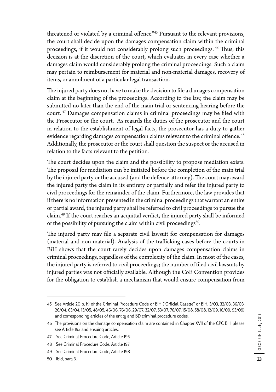threatened or violated by a criminal offence."45 Pursuant to the relevant provisions, the court shall decide upon the damages compensation claim within the criminal proceedings, if it would not considerably prolong such proceedings. 46 Thus, this decision is at the discretion of the court, which evaluates in every case whether a damages claim would considerably prolong the criminal proceedings. Such a claim may pertain to reimbursement for material and non-material damages, recovery of items, or annulment of a particular legal transaction.

The injured party does not have to make the decision to file a damages compensation claim at the beginning of the proceedings. According to the law, the claim may be submitted no later than the end of the main trial or sentencing hearing before the court. 47 Damages compensation claims in criminal proceedings may be filed with the Prosecutor or the court. As regards the duties of the prosecutor and the court in relation to the establishment of legal facts, the prosecutor has a duty to gather evidence regarding damages compensation claims relevant to the criminal offence. 48 Additionally, the prosecutor or the court shall question the suspect or the accused in relation to the facts relevant to the petition.

The court decides upon the claim and the possibility to propose mediation exists. The proposal for mediation can be initiated before the completion of the main trial by the injured party or the accused (and the defence attorney). The court may award the injured party the claim in its entirety or partially and refer the injured party to civil proceedings for the remainder of the claim. Furthermore, the law provides that if there is no information presented in the criminal proceedings that warrant an entire or partial award, the injured party shall be referred to civil proceedings to pursue the claim.49 If the court reaches an acquittal verdict, the injured party shall be informed of the possibility of pursuing the claim within civil proceedings<sup>50</sup>.

The injured party may file a separate civil lawsuit for compensation for damages (material and non-material). Analysis of the trafficking cases before the courts in BiH shows that the court rarely decides upon damages compensation claims in criminal proceedings, regardless of the complexity of the claim. In most of the cases, the injured party is referred to civil proceedings; the number of filed civil lawsuits by injured parties was not officially available. Although the CoE Convention provides for the obligation to establish a mechanism that would ensure compensation from

<sup>45</sup> See Article 20 p. h) of the Criminal Procedure Code of BiH ("Official Gazette" of BiH, 3/03, 32/03, 36/03, 26/04, 63/04, 13/05, 48/05, 46/06, 76/06, 29/07, 32/07, 53/07, 76/07, 15/08, 58/08, 12/09, 16/09, 93/09) and corresponding articles of the entity and BD criminal procedure codes.

<sup>46</sup> The provisions on the damage compensation claim are contained in Chapter XVII of the CPC BiH please see Article 193 and ensuing articles.

<sup>47</sup> See Criminal Procedure Code, Article 195

<sup>48</sup> See Criminal Procedure Code, Article 197

<sup>49</sup> See Criminal Procedure Code, Article 198

<sup>50</sup> Ibid, para 3.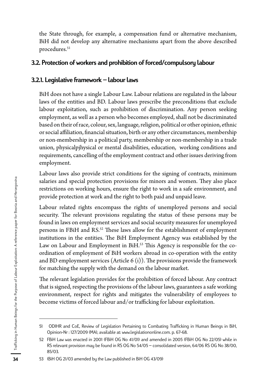the State through, for example, a compensation fund or alternative mechanism, BiH did not develop any alternative mechanisms apart from the above described procedures.<sup>51</sup>

## 3.2. Protection of workers and prohibition of forced/compulsory labour

#### 3.2.1. Legislative framework – labour laws

BiH does not have a single Labour Law. Labour relations are regulated in the labour laws of the entities and BD. Labour laws prescribe the preconditions that exclude labour exploitation, such as prohibition of discrimination. Any person seeking employment, as well as a person who becomes employed, shall not be discriminated based on their of race, colour, sex, language, religion, political or other opinion, ethnic or social affiliation, financial situation, birth or any other circumstances, membership or non-membership in a political party, membership or non-membership in a trade union, physicalpjhysical or mental disabilities, education, working conditions and requirements, cancelling of the employment contract and other issues deriving from employment.

Labour laws also provide strict conditions for the signing of contracts, minimum salaries and special protection provisions for minors and women. They also place restrictions on working hours, ensure the right to work in a safe environment, and provide protection at work and the right to both paid and unpaid leave.

Labour related rights encompass the rights of unemployed persons and social security. The relevant provisions regulating the status of these persons may be found in laws on employment services and social security measures for unemployed persons in FBiH and RS.52 These laws allow for the establishment of employment institutions in the entities. The BiH Employment Agency was established by the Law on Labour and Employment in BiH.<sup>53</sup> This Agency is responsible for the coordination of employment of BiH workers abroad in co-operation with the entity and BD employment services (Article  $6$  (i)). The provisions provide the framework for matching the supply with the demand on the labour market.

The relevant legislation provides for the prohibition of forced labour. Any contract that is signed, respecting the provisions of the labour laws, guarantees a safe working environment, respect for rights and mitigates the vulnerability of employees to become victims of forced labour and/or trafficking for labour exploitation.

<sup>51</sup> ODIHR and CoE, Review of Legislation Pertaining to Combating Trafficking in Human Beings in BiH, Opinion-Nr : 127/2009 (MA), available at: www.legislationonline.com. p. 67-68.

<sup>52</sup> FBiH Law was enacted in 2001 (FBiH OG No 41/01) and amended in 2005 (FBiH OG No 22/05) while in RS relevant provision may be found in RS OG No 54/05 – consolidated version, 64/06 RS OG No 38/00, 85/03.

<sup>53 (</sup>BiH OG 21/03 amended by the Law published in BiH OG 43/09)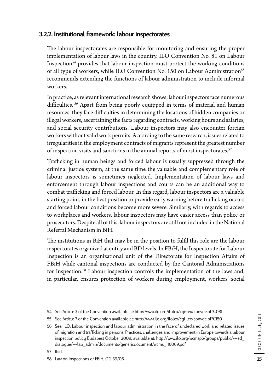## 3.2.2. Institutional framework: labour inspectorates

The labour inspectorates are responsible for monitoring and ensuring the proper implementation of labour laws in the country. ILO Convention No. 81 on Labour Inspection $54$  provides that labour inspection must protect the working conditions of all type of workers, while ILO Convention No. 150 on Labour Administration<sup>55</sup> recommends extending the functions of labour administration to include informal workers.

In practice, as relevant international research shows, labour inspectors face numerous difficulties. 56 Apart from being poorly equipped in terms of material and human resources, they face difficulties in determining the locations of hidden companies or illegal workers, ascertaining the facts regarding contracts, working hours and salaries, and social security contributions. Labour inspectors may also encounter foreign workers without valid work permits. According to the same research, issues related to irregularities in the employment contracts of migrants represent the greatest number of inspection visits and sanctions in the annual reports of most inspectorates.<sup>57</sup>

Trafficking in human beings and forced labour is usually suppressed through the criminal justice system, at the same time the valuable and complementary role of labour inspectors is sometimes neglected. Implementation of labour laws and enforcement through labour inspections and courts can be an additional way to combat trafficking and forced labour. In this regard, labour inspectors are a valuable starting point, in the best position to provide early warning before trafficking occurs and forced labour conditions become more severe. Similarly, with regards to access to workplaces and workers, labour inspectors may have easier access than police or prosecutors. Despite all of this, labour inspectors are still not included in the National Referral Mechanism in BiH.

The institutions in BiH that may be in the position to fulfil this role are the labour inspectorates organized at entity and BD levels. In FBiH, the Inspectorate for Labour Inspection is an organizational unit of the Directorate for Inspection Affairs of FBiH while cantonal inspections are conducted by the Cantonal Administrations for Inspection.<sup>58</sup> Labour inspection controls the implementation of the laws and, in particular, ensures protection of workers during employment, workers' social

<sup>54</sup> See Article 3 of the Convention available at: http://www.ilo.org/ilolex/cgi-lex/convde.pl?C081

<sup>55</sup> See Article 7 of the Convention available at: http://www.ilo.org/ilolex/cgi-lex/convde.pl?C150

<sup>56</sup> See: ILO: Labour inspection and labour administration in the face of undeclared work and related issues of migration and trafficking in persons: Practices, challenges and improvement in Europe towards a labour inspection policy Budapest October 2009, available at: http://www.ilo.org/wcmsp5/groups/public/---ed\_ dialogue/---lab\_admin/documents/genericdocument/wcms\_116069.pdf

<sup>58</sup> Law on Inspections of FBiH, OG 69/05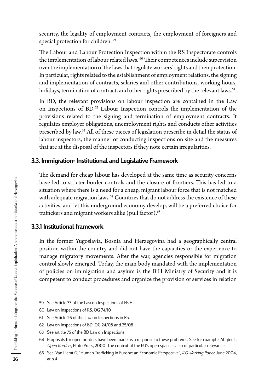security, the legality of employment contracts, the employment of foreigners and special protection for children. 59

The Labour and Labour Protection Inspection within the RS Inspectorate controls the implementation of labour related laws. <sup>60</sup> Their competences include supervision over the implementation of the laws that regulate workers' rights and their protection. In particular, rights related to the establishment of employment relations, the signing and implementation of contracts, salaries and other contributions, working hours, holidays, termination of contract, and other rights prescribed by the relevant laws.<sup>61</sup>

In BD, the relevant provisions on labour inspection are contained in the Law on Inspections of BD.<sup>62</sup> Labour Inspection controls the implementation of the provisions related to the signing and termination of employment contracts. It regulates employer obligations, unemployment rights and conducts other activities prescribed by law.63 All of these pieces of legislation prescribe in detail the status of labour inspectors, the manner of conducting inspections on site and the measures that are at the disposal of the inspectors if they note certain irregularities.

#### 3.3. Immigration- Institutional and Legislative Framework

The demand for cheap labour has developed at the same time as security concerns have led to stricter border controls and the closure of frontiers. This has led to a situation where there is a need for a cheap, migrant labour force that is not matched with adequate migration laws.<sup>64</sup> Countries that do not address the existence of these activities, and let this underground economy develop, will be a preferred choice for traffickers and migrant workers alike (pull factor).<sup>65</sup>

#### 3.3.1 Institutional framework

In the former Yugoslavia, Bosnia and Herzegovina had a geographically central position within the country and did not have the capacities or the experience to manage migratory movements. After the war, agencies responsible for migration control slowly emerged. Today, the main body mandated with the implementation of policies on immigration and asylum is the BiH Ministry of Security and it is competent to conduct procedures and organize the provision of services in relation

<sup>59</sup> See Article 33 of the Law on Inspections of FBiH

<sup>60</sup> Law on Inspections of RS, OG 74/10

<sup>61</sup> See Article 26 of the Law on Inspections in RS.

<sup>62</sup> Law on Inspections of BD, OG 24/08 and 25/08

<sup>63</sup> See article 75 of the BD Law on Inspections

<sup>64</sup> Proposals for open borders have been made as a response to these problems. See for example, Ahyter T, *Open Borders*, Pluto Press, 2000. The context of the EU's open space is also of particular relevance

<sup>65</sup> See, Van Liemt G, "Human Trafficking in Europe: an Economic Perspective", *ILO Working Paper*, June 2004, at p.4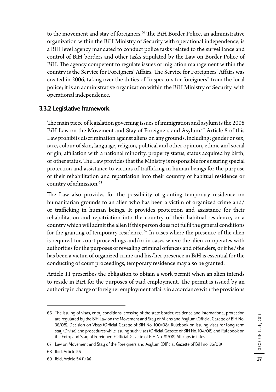to the movement and stay of foreigners.<sup>66</sup> The BiH Border Police, an administrative organization within the BiH Ministry of Security with operational independence, is a BiH level agency mandated to conduct police tasks related to the surveillance and control of BiH borders and other tasks stipulated by the Law on Border Police of BiH. The agency competent to regulate issues of migration management within the country is the Service for Foreigners' Affairs. The Service for Foreigners' Affairs was created in 2006, taking over the duties of "inspectors for foreigners" from the local police; it is an administrative organization within the BiH Ministry of Security, with operational independence.

#### 3.3.2 Legislative framework

The main piece of legislation governing issues of immigration and asylum is the 2008 BiH Law on the Movement and Stay of Foreigners and Asylum.<sup>67</sup> Article 8 of this Law prohibits discrimination against aliens on any grounds, including: gender or sex, race, colour of skin, language, religion, political and other opinion, ethnic and social origin, affiliation with a national minority, property status, status acquired by birth, or other status. The Law provides that the Ministry is responsible for ensuring special protection and assistance to victims of trafficking in human beings for the purpose of their rehabilitation and repatriation into their country of habitual residence or country of admission.<sup>68</sup>

The Law also provides for the possibility of granting temporary residence on humanitarian grounds to an alien who has been a victim of organized crime and/ or trafficking in human beings. It provides protection and assistance for their rehabilitation and repatriation into the country of their habitual residence, or a country which will admit the alien if this person does not fulfil the general conditions for the granting of temporary residence.<sup>69</sup> In cases where the presence of the alien is required for court proceedings and/or in cases where the alien co-operates with authorities for the purposes of revealing criminal offences and offenders, or if he/she has been a victim of organized crime and his/her presence in BiH is essential for the conducting of court proceedings, temporary residence may also be granted.

Article 11 prescribes the obligation to obtain a work permit when an alien intends to reside in BiH for the purposes of paid employment. The permit is issued by an authority in charge of foreigner employment affairs in accordance with the provisions

<sup>66</sup> The issuing of visas, entry conditions, crossing of the state border, residence and international protection are regulated by the BiH Law on the Movement and Stay of Aliens and Asylum (Official Gazette of BiH No. 36/08), Decision on Visas (Official Gazette of BiH No. 100/08), Rulebook on issuing visas for long-term stay (D visa) and procedures while issuing such visas (Official Gazette of BiH No. 104/08) and Rulebook on the Entry and Stay of Foreigners (Official Gazette of BiH No. 81/08) All caps in titles.

<sup>67</sup> Law on Movement and Stay of the Foreigners and Asylum (Official Gazette of BiH no. 36/08)

<sup>68</sup> Ibid, Article 56

<sup>69</sup> Ibid, Article 54 (1) (a)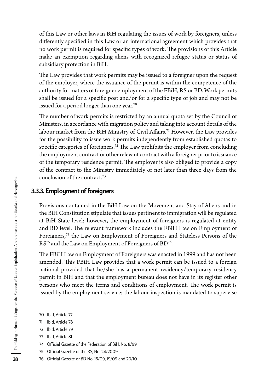of this Law or other laws in BiH regulating the issues of work by foreigners, unless differently specified in this Law or an international agreement which provides that no work permit is required for specific types of work. The provisions of this Article make an exemption regarding aliens with recognized refugee status or status of subsidiary protection in BiH.

The Law provides that work permits may be issued to a foreigner upon the request of the employer, where the issuance of the permit is within the competence of the authority for matters of foreigner employment of the FBiH, RS or BD. Work permits shall be issued for a specific post and/or for a specific type of job and may not be issued for a period longer than one year.<sup>70</sup>

The number of work permits is restricted by an annual quota set by the Council of Ministers, in accordance with migration policy and taking into account details of the labour market from the BiH Ministry of Civil Affairs.<sup>71</sup> However, the Law provides for the possibility to issue work permits independently from established quotas to specific categories of foreigners.<sup>72</sup> The Law prohibits the employer from concluding the employment contract or other relevant contract with a foreigner prior to issuance of the temporary residence permit. The employer is also obliged to provide a copy of the contract to the Ministry immediately or not later than three days from the conclusion of the contract.73

#### 3.3.3. Employment of foreigners

Provisions contained in the BiH Law on the Movement and Stay of Aliens and in the BiH Constitution stipulate that issues pertinent to immigration will be regulated at BiH State level; however, the employment of foreigners is regulated at entity and BD level. The relevant framework includes the FBiH Law on Employment of Foreigners,74 the Law on Employment of Foreigners and Stateless Persons of the RS<sup>75</sup> and the Law on Employment of Foreigners of BD<sup>76</sup>.

The FBiH Law on Employment of Foreigners was enacted in 1999 and has not been amended. This FBiH Law provides that a work permit can be issued to a foreign national provided that he/she has a permanent residency/temporary residency permit in BiH and that the employment bureau does not have in its register other persons who meet the terms and conditions of employment. The work permit is issued by the employment service; the labour inspection is mandated to supervise

75 Official Gazette of the RS, No. 24/2009

<sup>70</sup> Ibid, Article 77

<sup>71</sup> Ibid, Article 78

<sup>72</sup> Ibid, Article 79

<sup>73</sup> Ibid, Article 81

<sup>74</sup> Official Gazette of the Federation of BiH*,* No. 8/99

<sup>76</sup> Official Gazette of BD No. 15/09, 19/09 and 20/10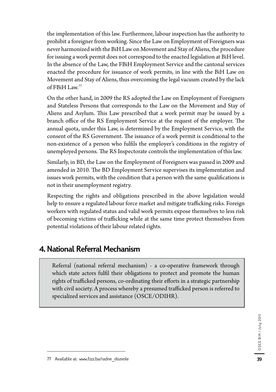the implementation of this law. Furthermore, labour inspection has the authority to prohibit a foreigner from working. Since the Law on Employment of Foreigners was never harmonized with the BiH Law on Movement and Stay of Aliens, the procedure for issuing a work permit does not correspond to the enacted legislation at BiH level. In the absence of the Law, the FBiH Employment Service and the cantonal services enacted the procedure for issuance of work permits, in line with the BiH Law on Movement and Stay of Aliens, thus overcoming the legal vacuum created by the lack of FBiH Law.77

On the other hand, in 2009 the RS adopted the Law on Employment of Foreigners and Stateless Persons that corresponds to the Law on the Movement and Stay of Aliens and Asylum. This Law prescribed that a work permit may be issued by a branch office of the RS Employment Service at the request of the employer. The annual quota, under this Law, is determined by the Employment Service, with the consent of the RS Government. The issuance of a work permit is conditional to the non-existence of a person who fulfils the employer's conditions in the registry of unemployed persons. The RS Inspectorate controls the implementation of this law.

Similarly, in BD, the Law on the Employment of Foreigners was passed in 2009 and amended in 2010. The BD Employment Service supervises its implementation and issues work permits, with the condition that a person with the same qualifications is not in their unemployment registry.

Respecting the rights and obligations prescribed in the above legislation would help to ensure a regulated labour force market and mitigate trafficking risks. Foreign workers with regulated status and valid work permits expose themselves to less risk of becoming victims of trafficking while at the same time protect themselves from potential violations of their labour related rights.

# 4. National Referral Mechanism

Referral (national referral mechanism) - a co-operative framework through which state actors fulfil their obligations to protect and promote the human rights of trafficked persons, co-ordinating their efforts in a strategic partnership with civil society. A process whereby a presumed trafficked person is referred to specialized services and assistance (OSCE/ODIHR).

39

<sup>77</sup> Available at: www.fzzz.ba/radne\_dozvole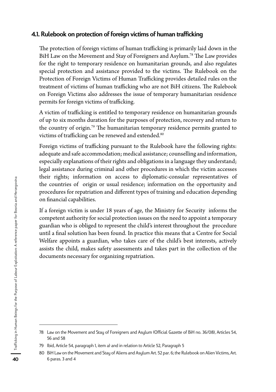### 4.1. Rulebook on protection of foreign victims of human trafficking

The protection of foreign victims of human trafficking is primarily laid down in the BiH Law on the Movement and Stay of Foreigners and Asylum.78 The Law provides for the right to temporary residence on humanitarian grounds, and also regulates special protection and assistance provided to the victims. The Rulebook on the Protection of Foreign Victims of Human Trafficking provides detailed rules on the treatment of victims of human trafficking who are not BiH citizens. The Rulebook on Foreign Victims also addresses the issue of temporary humanitarian residence permits for foreign victims of trafficking.

A victim of trafficking is entitled to temporary residence on humanitarian grounds of up to six months duration for the purposes of protection, recovery and return to the country of origin.79 The humanitarian temporary residence permits granted to victims of trafficking can be renewed and extended.<sup>80</sup>

Foreign victims of trafficking pursuant to the Rulebook have the following rights: adequate and safe accommodation; medical assistance; counselling and information, especially explanations of their rights and obligations in a language they understand; legal assistance during criminal and other procedures in which the victim accesses their rights; information on access to diplomatic-consular representatives of the countries of origin or usual residence; information on the opportunity and procedures for repatriation and different types of training and education depending on financial capabilities.

If a foreign victim is under 18 years of age, the Ministry for Security informs the competent authority for social protection issues on the need to appoint a temporary guardian who is obliged to represent the child's interest throughout the procedure until a final solution has been found. In practice this means that a Centre for Social Welfare appoints a guardian, who takes care of the child's best interests, actively assists the child, makes safety assessments and takes part in the collection of the documents necessary for organizing repatriation.

<sup>78</sup> Law on the Movement and Stay of Foreigners and Asylum (Official Gazette of BiH no. 36/08), Articles 54, 56 and 58

<sup>79</sup> Ibid, Article 54, paragraph 1, item a) and in relation to Article 52, Paragraph 5

<sup>80</sup> BiH Law on the Movement and Stay of Aliens and Asylum Art. 52 par. 6; the Rulebook on Alien Victims, Art. 6 paras. 3 and 4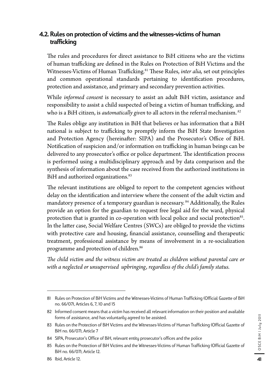## 4.2. Rules on protection of victims and the witnesses-victims of human trafficking

The rules and procedures for direct assistance to BiH citizens who are the victims of human trafficking are defined in the Rules on Protection of BiH Victims and the Witnesses-Victims of Human Trafficking.<sup>81</sup> These Rules, *inter alia*, set out principles and common operational standards pertaining to identification procedures, protection and assistance, and primary and secondary prevention activities.

While *informed consent* is necessary to assist an adult BiH victim, assistance and responsibility to assist a child suspected of being a victim of human trafficking, and who is a BiH citizen, is *automatically given* to all actors in the referral mechanism.*<sup>82</sup>*

The Rules oblige any institution in BiH that believes or has information that a BiH national is subject to trafficking to promptly inform the BiH State Investigation and Protection Agency (hereinafter: SIPA) and the Prosecutor's Office of BiH. Notification of suspicion and/or information on trafficking in human beings can be delivered to any prosecutor's office or police department. The identification process is performed using a multidisciplinary approach and by data comparison and the synthesis of information about the case received from the authorized institutions in BiH and authorized organizations.<sup>83</sup>

The relevant institutions are obliged to report to the competent agencies without delay on the identification and interview where the consent of the adult victim and mandatory presence of a temporary guardian is necessary.<sup>84</sup> Additionally, the Rules provide an option for the guardian to request free legal aid for the ward, physical protection that is granted in co-operation with local police and social protection<sup>85</sup>. In the latter case, Social Welfare Centres (SWCs) are obliged to provide the victims with protective care and housing, financial assistance, counselling and therapeutic treatment, professional assistance by means of involvement in a re-socialization programme and protection of children.86

*The child victim and the witness victim are treated as children without parental care or with a neglected or unsupervised upbringing, regardless of the child's family status.* 

<sup>81</sup> Rules on Protection of BiH Victims and the Witnesses-Victims of Human Trafficking (Official Gazette of BiH no. 66/07), Articles 6, 7, 10 and 15

<sup>82</sup> Informed consent means that a victim has received all relevant information on their position and available forms of assistance, and has voluntarily agreed to be assisted.

<sup>83</sup> Rules on the Protection of BiH Victims and the Witnesses-Victims of Human Trafficking (Official Gazette of BiH no. 66/07), Article 7

<sup>84</sup> SIPA, Prosecutor's Office of BiH, relevant entity prosecutor's offices and the police

<sup>85</sup> Rules on the Protection of BiH Victims and the Witnesses-Victims of Human Trafficking (Official Gazette of BiH no. 66/07), Article 12.

<sup>86</sup> Ibid, Article 12.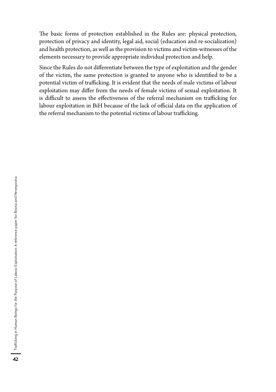The basic forms of protection established in the Rules are: physical protection, protection of privacy and identity, legal aid, social (education and re-socialization) and health protection, as well as the provision to victims and victim-witnesses of the elements necessary to provide appropriate individual protection and help.

Since the Rules do not differentiate between the type of exploitation and the gender of the victim, the same protection is granted to anyone who is identified to be a potential victim of trafficking. It is evident that the needs of male victims of labour exploitation may differ from the needs of female victims of sexual exploitation. It is difficult to assess the effectiveness of the referral mechanism on trafficking for labour exploitation in BiH because of the lack of official data on the application of the referral mechanism to the potential victims of labour trafficking.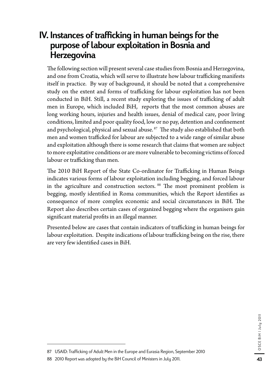# IV. Instances of trafficking in human beings for the purpose of labour exploitation in Bosnia and **Herzegovina**

The following section will present several case studies from Bosnia and Herzegovina, and one from Croatia, which will serve to illustrate how labour trafficking manifests itself in practice. By way of background, it should be noted that a comprehensive study on the extent and forms of trafficking for labour exploitation has not been conducted in BiH. Still, a recent study exploring the issues of trafficking of adult men in Europe, which included BiH, reports that the most common abuses are long working hours, injuries and health issues, denial of medical care, poor living conditions, limited and poor quality food, low or no pay, detention and confinement and psychological, physical and sexual abuse.<sup>87</sup> The study also established that both men and women trafficked for labour are subjected to a wide range of similar abuse and exploitation although there is some research that claims that women are subject to more exploitative conditions or are more vulnerable to becoming victims of forced labour or trafficking than men.

The 2010 BiH Report of the State Co-ordinator for Trafficking in Human Beings indicates various forms of labour exploitation including begging, and forced labour in the agriculture and construction sectors. <sup>88</sup> The most prominent problem is begging, mostly identified in Roma communities, which the Report identifies as consequence of more complex economic and social circumstances in BiH. The Report also describes certain cases of organized begging where the organisers gain significant material profits in an illegal manner.

Presented below are cases that contain indicators of trafficking in human beings for labour exploitation. Despite indications of labour trafficking being on the rise, there are very few identified cases in BiH.

<sup>87</sup> USAID: Trafficking of Adult Men in the Europe and Eurasia Region, September 2010

<sup>88 2010</sup> Report was adopted by the BiH Council of Ministers in July 2011.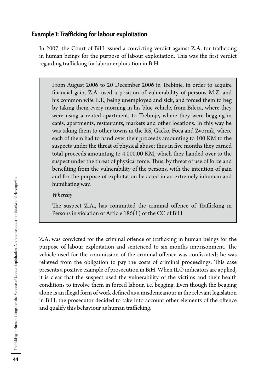#### Example 1: Trafficking for labour exploitation

In 2007, the Court of BiH issued a convicting verdict against Z.A. for trafficking in human beings for the purpose of labour exploitation. This was the first verdict regarding trafficking for labour exploitation in BiH.

From August 2006 to 20 December 2006 in Trebinje, in order to acquire financial gain, Z.A. used a position of vulnerability of persons M.Z. and his common wife E.T., being unemployed and sick, and forced them to beg by taking them every morning in his blue vehicle, from Bileca, where they were using a rented apartment, to Trebinje, where they were begging in cafés, apartments, restaurants, markets and other locations. In this way he was taking them to other towns in the RS, Gacko, Foca and Zvornik, where each of them had to hand over their proceeds amounting to 100 KM to the suspects under the threat of physical abuse; thus in five months they earned total proceeds amounting to 4.000.00 KM, which they handed over to the suspect under the threat of physical force. Thus, by threat of use of force and benefiting from the vulnerability of the persons, with the intention of gain and for the purpose of exploitation he acted in an extremely inhuman and humiliating way,

*Whereby*

The suspect Z.A., has committed the criminal offence of Trafficking in Persons in violation of Article 186(1) of the CC of BiH

Z.A. was convicted for the criminal offence of trafficking in human beings for the purpose of labour exploitation and sentenced to six months imprisonment. The vehicle used for the commission of the criminal offence was confiscated; he was relieved from the obligation to pay the costs of criminal proceedings. This case presents a positive example of prosecution in BiH. When ILO indicators are applied, it is clear that the suspect used the vulnerability of the victims and their health conditions to involve them in forced labour, i.e. begging. Even though the begging alone is an illegal form of work defined as a misdemeanour in the relevant legislation in BiH, the prosecutor decided to take into account other elements of the offence and qualify this behaviour as human trafficking.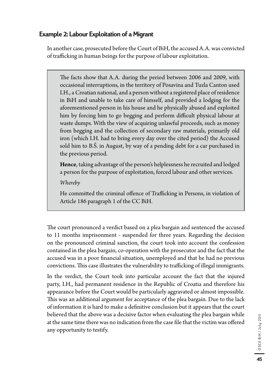# Example 2: Labour Exploitation of a Migrant

In another case, prosecuted before the Court of BiH, the accused A.A. was convicted of trafficking in human beings for the purpose of labour exploitation.

The facts show that A.A. during the period between 2006 and 2009, with occasional interruptions, in the territory of Posavina and Tuzla Canton used I.H., a Croatian national, and a person without a registered place of residence in BiH and unable to take care of himself, and provided a lodging for the aforementioned person in his house and he physically abused and exploited him by forcing him to go begging and perform difficult physical labour at waste dumps. With the view of acquiring unlawful proceeds, such as money from begging and the collection of secondary raw materials, primarily old iron (which I.H. had to bring every day over the cited period) the Accused sold him to B.Š. in August, by way of a pending debt for a car purchased in the previous period.

**Hence**, taking advantage of the person's helplessness he recruited and lodged a person for the purpose of exploitation, forced labour and other services.

*Whereby* 

He committed the criminal offence of Trafficking in Persons, in violation of Article 186 paragraph 1 of the CC BiH.

The court pronounced a verdict based on a plea bargain and sentenced the accused to 11 months imprisonment - suspended for three years. Regarding the decision on the pronounced criminal sanction, the court took into account the confession contained in the plea bargain, co-operation with the prosecutor and the fact that the accused was in a poor financial situation, unemployed and that he had no previous convictions. This case illustrates the vulnerability to trafficking of illegal immigrants.

In the verdict, the Court took into particular account the fact that the injured party, I.H., had permanent residence in the Republic of Croatia and therefore his appearance before the Court would be particularly aggravated or almost impossible. This was an additional argument for acceptance of the plea bargain. Due to the lack of information it is hard to make a definitive conclusion but it appears that the court believed that the above was a decisive factor when evaluating the plea bargain while at the same time there was no indication from the case file that the victim was offered any opportunity to testify.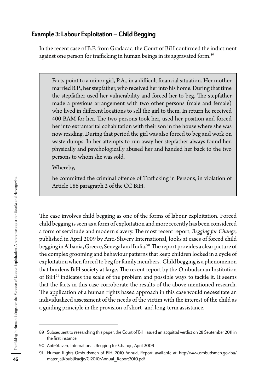## Example 3: Labour Exploitation – Child Begging

In the recent case of B.P. from Gradacac, the Court of BiH confirmed the indictment against one person for trafficking in human beings in its aggravated form.<sup>89</sup>

Facts point to a minor girl, P.A., in a difficult financial situation. Her mother married B.P., her stepfather, who received her into his home. During that time the stepfather used her vulnerability and forced her to beg. The stepfather made a previous arrangement with two other persons (male and female) who lived in different locations to sell the girl to them. In return he received 400 BAM for her. The two persons took her, used her position and forced her into extramarital cohabitation with their son in the house where she was now residing. During that period the girl was also forced to beg and work on waste dumps. In her attempts to run away her stepfather always found her, physically and psychologically abused her and handed her back to the two persons to whom she was sold.

Whereby,

he committed the criminal offence of Trafficking in Persons, in violation of Article 186 paragraph 2 of the CC BiH.

The case involves child begging as one of the forms of labour exploitation. Forced child begging is seen as a form of exploitation and more recently has been considered a form of servitude and modern slavery. The most recent report, *Begging for Change,* published in April 2009 by Anti-Slavery International, looks at cases of forced child begging in Albania, Greece, Senegal and India.<sup>90</sup> The report provides a clear picture of the complex grooming and behaviour patterns that keep children locked in a cycle of exploitation when forced to beg for family members. Child begging is a phenomenon that burdens BiH society at large. The recent report by the Ombudsman Institution of  $BiH<sup>91</sup>$  indicates the scale of the problem and possible ways to tackle it. It seems that the facts in this case corroborate the results of the above mentioned research. The application of a human rights based approach in this case would necessitate an individualized assessment of the needs of the victim with the interest of the child as a guiding principle in the provision of short- and long-term assistance.

<sup>89</sup> Subsequent to researching this paper, the Court of BiH issued an acquittal verdict on 28 September 2011 in the first instance.

<sup>90</sup> Anti-Slavery International, Begging for Change, April 2009

<sup>91</sup> Human Rights Ombudsmen of BiH, 2010 Annual Report, available at: http://www.ombudsmen.gov.ba/ materijali/publikacije/GI2010/Annual\_Report2010.pdf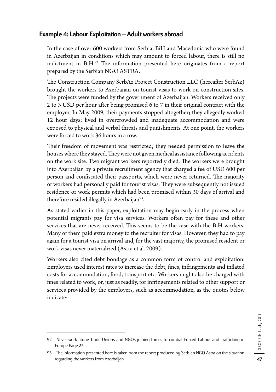## Example 4: Labour Exploitation – Adult workers abroad

In the case of over 600 workers from Serbia, BiH and Macedonia who were found in Azerbaijan in conditions which may amount to forced labour, there is still no indictment in BiH.92 The information presented here originates from a report prepared by the Serbian NGO ASTRA.

The Construction Company SerbAz Project Construction LLC (hereafter SerbAz) brought the workers to Azerbaijan on tourist visas to work on construction sites. The projects were funded by the government of Azerbaijan. Workers received only 2 to 3 USD per hour after being promised 6 to 7 in their original contract with the employer. In May 2009, their payments stopped altogether; they allegedly worked 12 hour days; lived in overcrowded and inadequate accommodation and were exposed to physical and verbal threats and punishments. At one point, the workers were forced to work 36 hours in a row.

Their freedom of movement was restricted; they needed permission to leave the houses where they stayed. They were not given medical assistance following accidents on the work site. Two migrant workers reportedly died. The workers were brought into Azerbaijan by a private recruitment agency that charged a fee of USD 600 per person and confiscated their passports, which were never returned. The majority of workers had personally paid for tourist visas. They were subsequently not issued residence or work permits which had been promised within 30 days of arrival and therefore resided illegally in Azerbaijan<sup>93</sup>.

As stated earlier in this paper, exploitation may begin early in the process when potential migrants pay for visa services. Workers often pay for these and other services that are never received. This seems to be the case with the BiH workers. Many of them paid extra money to the recruiter for visas. However, they had to pay again for a tourist visa on arrival and, for the vast majority, the promised resident or work visas never materialized (Astra et al. 2009).

Workers also cited debt bondage as a common form of control and exploitation. Employers used interest rates to increase the debt, fines, infringements and inflated costs for accommodation, food, transport etc. Workers might also be charged with fines related to work, or, just as readily, for infringements related to other support or services provided by the employers, such as accommodation, as the quotes below indicate:

<sup>92</sup> Never work alone Trade Unions and NGOs joining forces to combat Forced Labour and Trafficking in Europe Page 27

<sup>93</sup> The information presented here is taken from the report produced by Serbian NGO Astra on the situation regarding the workers from Azerbaijan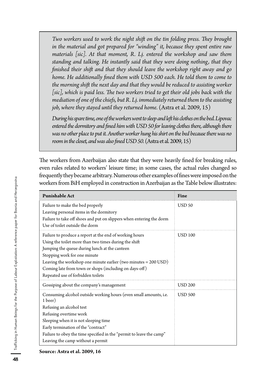*Two workers used to work the night shift on the tin folding press. They brought in the material and got prepared for "winding" it, because they spent entire raw materials [sic]. At that moment, R. Lj. entered the workshop and saw them standing and talking. He instantly said that they were doing nothing, that they finished their shift and that they should leave the workshop right away and go*  home. He additionally fined them with USD 500 each. He told them to come to *the morning shift the next day and that they would be reduced to assisting worker*  [sic], which is paid less. The two workers tried to get their old jobs back with the *mediation of one of the chiefs, but R. Lj. immediately returned them to the assisting job, where they stayed until they returned home.* (Astra et al. 2009, 15)

*During his spare time, one of the workers went to sleep and left his clothes on the bed. Lipovac entered the dormitory and fined him with USD 50 for leaving clothes there, although there was no other place to put it. Another worker hung his shirt on the bed because there was no room in the closet, and was also fined USD 50.* (Astra et al. 2009, 15)

The workers from Azerbaijan also state that they were heavily fined for breaking rules, even rules related to workers' leisure time; in some cases, the actual rules changed so frequently they became arbitrary. Numerous other examples of fines were imposed on the workers from BiH employed in construction in Azerbaijan as the Table below illustrates:

| <b>Punishable Act</b>                                                                                                                                                                                                                                                                                                                                                 | Fine           |
|-----------------------------------------------------------------------------------------------------------------------------------------------------------------------------------------------------------------------------------------------------------------------------------------------------------------------------------------------------------------------|----------------|
| Failure to make the bed properly<br>Leaving personal items in the dormitory<br>Failure to take off shoes and put on slippers when entering the dorm<br>Use of toilet outside the dorm                                                                                                                                                                                 | <b>USD 50</b>  |
| Failure to produce a report at the end of working hours<br>Using the toilet more than two times during the shift<br>Jumping the queue during lunch at the canteen<br>Stopping work for one minute<br>Leaving the workshop one minute earlier (two minutes $= 200$ USD)<br>Coming late from town or shops (including on days-off)<br>Repeated use of forbidden toilets | <b>USD 100</b> |
| Gossiping about the company's management                                                                                                                                                                                                                                                                                                                              | <b>USD 200</b> |
| Consuming alcohol outside working hours (even small amounts, i.e.<br>1 beer)<br>Refusing an alcohol test<br>Refusing overtime work<br>Sleeping when it is not sleeping time<br>Early termination of the "contract"<br>Failure to obey the time specified in the "permit to leave the camp"                                                                            | <b>USD 500</b> |
| Leaving the camp without a permit                                                                                                                                                                                                                                                                                                                                     |                |

**Source: Astra et al. 2009, 16**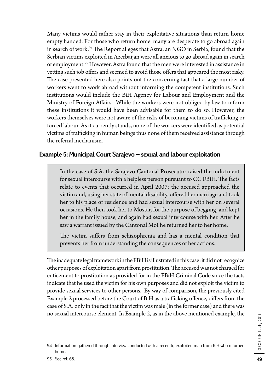Many victims would rather stay in their exploitative situations than return home empty handed. For those who return home, many are desperate to go abroad again in search of work.94 The Report alleges that Astra, an NGO in Serbia, found that the Serbian victims exploited in Azerbaijan were all anxious to go abroad again in search of employment.95 However, Astra found that the men were interested in assistance in vetting such job offers and seemed to avoid those offers that appeared the most risky. The case presented here also points out the concerning fact that a large number of workers went to work abroad without informing the competent institutions. Such institutions would include the BiH Agency for Labour and Employment and the Ministry of Foreign Affairs. While the workers were not obliged by law to inform these institutions it would have been advisable for them to do so. However, the workers themselves were not aware of the risks of becoming victims of trafficking or forced labour. As it currently stands, none of the workers were identified as potential victims of trafficking in human beings thus none of them received assistance through the referral mechanism.

# Example 5: Municipal Court Sarajevo – sexual and labour exploitation

In the case of S.A. the Sarajevo Cantonal Prosecutor raised the indictment for sexual intercourse with a helpless person pursuant to CC FBiH. The facts relate to events that occurred in April 2007: the accused approached the victim and, using her state of mental disability, offered her marriage and took her to his place of residence and had sexual intercourse with her on several occasions. He then took her to Mostar, for the purpose of begging, and kept her in the family house, and again had sexual intercourse with her. After he saw a warrant issued by the Cantonal MoI he returned her to her home.

The victim suffers from schizophrenia and has a mental condition that prevents her from understanding the consequences of her actions.

The inadequate legal framework in the FBiH is illustrated in this case; it did not recognize other purposes of exploitation apart from prostitution. The accused was not charged for enticement to prostitution as provided for in the FBiH Criminal Code since the facts indicate that he used the victim for his own purposes and did not exploit the victim to provide sexual services to other persons. By way of comparison, the previously cited Example 2 processed before the Court of BiH as a trafficking offence, differs from the case of S.A. only in the fact that the victim was male (in the former case) and there was no sexual intercourse element. In Example 2, as in the above mentioned example, the

<sup>94</sup> Information gathered through interview conducted with a recently exploited man from BiH who returned home.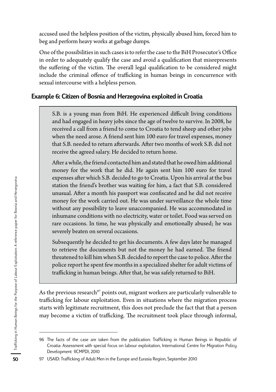accused used the helpless position of the victim, physically abused him, forced him to beg and perform heavy works at garbage dumps.

One of the possibilities in such cases is to refer the case to the BiH Prosecutor's Office in order to adequately qualify the case and avoid a qualification that misrepresents the suffering of the victim. The overall legal qualification to be considered might include the criminal offence of trafficking in human beings in concurrence with sexual intercourse with a helpless person.

## Example 6: Citizen of Bosnia and Herzegovina exploited in Croatia

S.B. is a young man from BiH. He experienced difficult living conditions and had engaged in heavy jobs since the age of twelve to survive. In 2008, he received a call from a friend to come to Croatia to tend sheep and other jobs when the need arose. A friend sent him 100 euro for travel expenses, money that S.B. needed to return afterwards. After two months of work S.B. did not receive the agreed salary. He decided to return home.

After a while, the friend contacted him and stated that he owed him additional money for the work that he did. He again sent him 100 euro for travel expenses after which S.B. decided to go to Croatia. Upon his arrival at the bus station the friend's brother was waiting for him, a fact that S.B. considered unusual. After a month his passport was confiscated and he did not receive money for the work carried out. He was under surveillance the whole time without any possibility to leave unaccompanied. He was accommodated in inhumane conditions with no electricity, water or toilet. Food was served on rare occasions. In time, he was physically and emotionally abused; he was severely beaten on several occasions.

Subsequently he decided to get his documents. A few days later he managed to retrieve the documents but not the money he had earned. The friend threatened to kill him when S.B. decided to report the case to police. After the police report he spent few months in a specialized shelter for adult victims of trafficking in human beings. After that, he was safely returned to BiH.

As the previous research<sup>97</sup> points out, migrant workers are particularly vulnerable to trafficking for labour exploitation. Even in situations where the migration process starts with legitimate recruitment, this does not preclude the fact that that a person may become a victim of trafficking. The recruitment took place through informal,

<sup>96</sup> The facts of the case are taken from the publication: Trafficking in Human Beings in Republic of Croatia: Assessment with special focus on labour exploitation, International Centre for Migration Policy Development (ICMPD), 2010

<sup>97</sup> USAID: Trafficking of Adult Men in the Europe and Eurasia Region, September 2010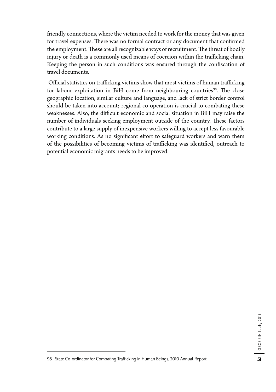friendly connections, where the victim needed to work for the money that was given for travel expenses. There was no formal contract or any document that confirmed the employment. These are all recognizable ways of recruitment. The threat of bodily injury or death is a commonly used means of coercion within the trafficking chain. Keeping the person in such conditions was ensured through the confiscation of travel documents.

 Official statistics on trafficking victims show that most victims of human trafficking for labour exploitation in BiH come from neighbouring countries<sup>98</sup>. The close geographic location, similar culture and language, and lack of strict border control should be taken into account; regional co-operation is crucial to combating these weaknesses. Also, the difficult economic and social situation in BiH may raise the number of individuals seeking employment outside of the country. These factors contribute to a large supply of inexpensive workers willing to accept less favourable working conditions. As no significant effort to safeguard workers and warn them of the possibilities of becoming victims of trafficking was identified, outreach to potential economic migrants needs to be improved.

<sup>98</sup> State Co-ordinator for Combating Trafficking in Human Beings, 2010 Annual Report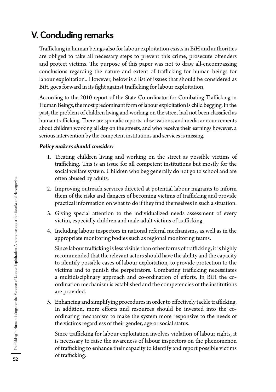# V. Concluding remarks

Trafficking in human beings also for labour exploitation exists in BiH and authorities are obliged to take all necessary steps to prevent this crime, prosecute offenders and protect victims. The purpose of this paper was not to draw all-encompassing conclusions regarding the nature and extent of trafficking for human beings for labour exploitation.. However, below is a list of issues that should be considered as BiH goes forward in its fight against trafficking for labour exploitation.

According to the 2010 report of the State Co-ordinator for Combating Trafficking in Human Beings, the most predominant form of labour exploitation is child begging. In the past, the problem of children living and working on the street had not been classified as human trafficking. There are sporadic reports, observations, and media announcements about children working all day on the streets, and who receive their earnings however, a serious intervention by the competent institutions and services is missing.

#### *Policy makers should consider:*

- 1. Treating children living and working on the street as possible victims of trafficking. This is an issue for all competent institutions but mostly for the social welfare system. Children who beg generally do not go to school and are often abused by adults.
- 2. Improving outreach services directed at potential labour migrants to inform them of the risks and dangers of becoming victims of trafficking and provide practical information on what to do if they find themselves in such a situation.
- 3. Giving special attention to the individualized needs assessment of every victim, especially children and male adult victims of trafficking.
- 4. Including labour inspectors in national referral mechanisms, as well as in the appropriate monitoring bodies such as regional monitoring teams.

Since labour trafficking is less visible than other forms of trafficking, it is highly recommended that the relevant actors should have the ability and the capacity to identify possible cases of labour exploitation, to provide protection to the victims and to punish the perpetrators. Combating trafficking necessitates a multidisciplinary approach and co-ordination of efforts. In BiH the coordination mechanism is established and the competencies of the institutions are provided.

5. Enhancing and simplifying procedures in order to effectively tackle trafficking. In addition, more efforts and resources should be invested into the coordinating mechanism to make the system more responsive to the needs of the victims regardless of their gender, age or social status.

Since trafficking for labour exploitation involves violation of labour rights, it is necessary to raise the awareness of labour inspectors on the phenomenon of trafficking to enhance their capacity to identify and report possible victims of trafficking.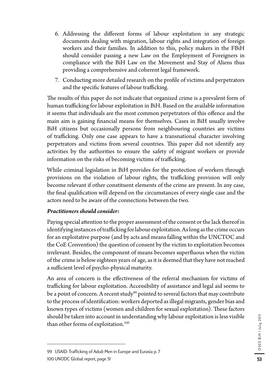- 6. Addressing the different forms of labour exploitation in any strategic documents dealing with migration, labour rights and integration of foreign workers and their families. In addition to this, policy makers in the FBiH should consider passing a new Law on the Employment of Foreigners in compliance with the BiH Law on the Movement and Stay of Aliens thus providing a comprehensive and coherent legal framework.
- 7. Conducting more detailed research on the profile of victims and perpetrators and the specific features of labour trafficking.

The results of this paper do not indicate that organized crime is a prevalent form of human trafficking for labour exploitation in BiH. Based on the available information it seems that individuals are the most common perpetrators of this offence and the main aim is gaining financial means for themselves. Cases in BiH usually involve BiH citizens but occasionally persons from neighbouring countries are victims of trafficking. Only one case appears to have a transnational character involving perpetrators and victims from several countries. This paper did not identify any activities by the authorities to ensure the safety of migrant workers or provide information on the risks of becoming victims of trafficking.

While criminal legislation in BiH provides for the protection of workers through provisions on the violation of labour rights, the trafficking provision will only become relevant if other constituent elements of the crime are present. In any case, the final qualification will depend on the circumstances of every single case and the actors need to be aware of the connections between the two.

#### *Practitioners should consider:*

Paying special attention to the proper assessment of the consent or the lack thereof in identifying instances of trafficking for labour exploitation. As long as the crime occurs for an exploitative purpose (and by acts and means falling within the UNCTOC and the CoE Convention) the question of consent by the victim to exploitation becomes irrelevant. Besides, the component of means becomes superfluous when the victim of the crime is below eighteen years of age, as it is deemed that they have not reached a sufficient level of psycho-physical maturity.

An area of concern is the effectiveness of the referral mechanism for victims of trafficking for labour exploitation. Accessibility of assistance and legal aid seems to be a point of concern. A recent study<sup>99</sup> pointed to several factors that may contribute to the process of identification: workers deported as illegal migrants, gender bias and known types of victims (women and children for sexual exploitation). These factors should be taken into account in understanding why labour exploitation is less visible than other forms of exploitation.<sup>100</sup>

<sup>99</sup> USAID: Trafficking of Adult Men in Europe and Eurasia p. 7 100 UNODC Global report, page 51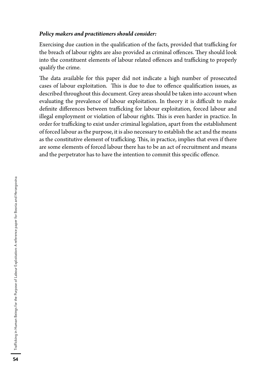#### *Policy makers and practitioners should consider:*

Exercising due caution in the qualification of the facts, provided that trafficking for the breach of labour rights are also provided as criminal offences. They should look into the constituent elements of labour related offences and trafficking to properly qualify the crime.

The data available for this paper did not indicate a high number of prosecuted cases of labour exploitation. This is due to due to offence qualification issues, as described throughout this document. Grey areas should be taken into account when evaluating the prevalence of labour exploitation. In theory it is difficult to make definite differences between trafficking for labour exploitation, forced labour and illegal employment or violation of labour rights. This is even harder in practice. In order for trafficking to exist under criminal legislation, apart from the establishment of forced labour as the purpose, it is also necessary to establish the act and the means as the constitutive element of trafficking. This, in practice, implies that even if there are some elements of forced labour there has to be an act of recruitment and means and the perpetrator has to have the intention to commit this specific offence.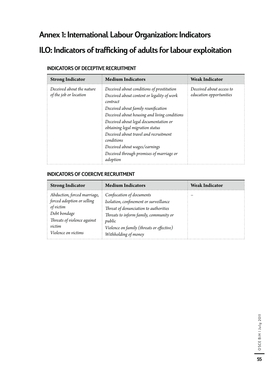# Annex 1: International Labour Organization: Indicators

# ILO: Indicators of trafficking of adults for labour exploitation

| <b>Strong Indicator</b>                             | <b>Medium Indicators</b>                                                                            | <b>Weak Indicator</b>                               |
|-----------------------------------------------------|-----------------------------------------------------------------------------------------------------|-----------------------------------------------------|
| Deceived about the nature<br>of the job or location | Deceived about conditions of prostitution<br>Deceived about content or legality of work<br>contract | Deceived about access to<br>education opportunities |
|                                                     | Deceived about family reunification                                                                 |                                                     |
|                                                     | Deceived about housing and living conditions                                                        |                                                     |
|                                                     | Deceived about legal documentation or                                                               |                                                     |
|                                                     | obtaining legal migration status                                                                    |                                                     |
|                                                     | Deceived about travel and recruitment<br>conditions                                                 |                                                     |
|                                                     | Deceived about wages/earnings                                                                       |                                                     |
|                                                     | Deceived through promises of marriage or                                                            |                                                     |
|                                                     | adoption                                                                                            |                                                     |

#### INDICATORS OF DECEPTIVE RECRUITMENT

#### INDICATORS OF COERCIVE RECRUITMENT

| <b>Strong Indicator</b>                                                                                                                                | <b>Medium Indicators</b>                                                                                                                                                                                                              | <b>Weak Indicator</b> |
|--------------------------------------------------------------------------------------------------------------------------------------------------------|---------------------------------------------------------------------------------------------------------------------------------------------------------------------------------------------------------------------------------------|-----------------------|
| Abduction, forced marriage,<br>forced adoption or selling<br>of victim<br>Debt bondage<br>Threats of violence against<br>victim<br>Violence on victims | Confiscation of documents<br>Isolation, confinement or surveillance<br>Threat of denunciation to authorities<br>Threats to inform family, community or<br>public<br>Violence on family (threats or effective)<br>Withholding of money |                       |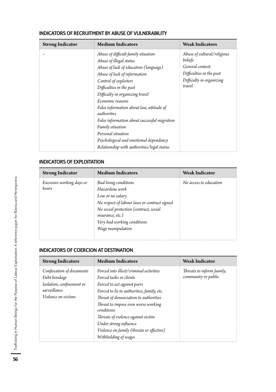| <b>Strong Indicator</b> | <b>Medium Indicators</b>                                                                                                                                                                                                                                                                                                                                                                                                                                                                         | <b>Weak Indicators</b>                                                                                                      |
|-------------------------|--------------------------------------------------------------------------------------------------------------------------------------------------------------------------------------------------------------------------------------------------------------------------------------------------------------------------------------------------------------------------------------------------------------------------------------------------------------------------------------------------|-----------------------------------------------------------------------------------------------------------------------------|
|                         | Abuse of difficult family situation<br>Abuse of illegal status<br>Abuse of lack of education (language)<br>Abuse of lack of information<br>Control of exploiters<br>Difficulties in the past<br>Difficulty in organizing travel<br>Economic reasons<br>False information about law, attitude of<br>authorities<br>False information about successful migration<br>Family situation<br>Personal situation<br>Psychological and emotional dependency<br>Relationship with authorities/legal status | Abuse of cultural/religious<br>beliefs<br>General context<br>Difficulties in the past<br>Difficulty in organizing<br>travel |

#### INDICATORS OF RECRUITMENT BY ABUSE OF VULNERABILITY

#### INDICATORS OF EXPLOITATION

| <b>Strong Indicator</b>            | <b>Medium Indicators</b>                                                                                                                                                                                                             | <b>Weak Indicator</b>  |
|------------------------------------|--------------------------------------------------------------------------------------------------------------------------------------------------------------------------------------------------------------------------------------|------------------------|
| Excessive working days or<br>hours | Bad living conditions<br>Hazardous work<br>Low or no salary<br>No respect of labour laws or contract signed<br>No social protection (contract, social<br><i>insurance, etc.)</i><br>Very bad working conditions<br>Wage manipulation | No access to education |

#### INDICATORS OF COERCION AT DESTINATION

| <b>Strong Indicators</b>                                                                                      | <b>Medium Indicators</b>                                                                                                                                                                                                                                                                                                                                                           | <b>Weak Indicator</b>                            |
|---------------------------------------------------------------------------------------------------------------|------------------------------------------------------------------------------------------------------------------------------------------------------------------------------------------------------------------------------------------------------------------------------------------------------------------------------------------------------------------------------------|--------------------------------------------------|
| Confiscation of documents<br>Debt bondage<br>Isolation, confinement or<br>surveillance<br>Violence on victims | Forced into illicit/criminal activities<br>Forced tasks or clients<br>Forced to act against peers<br>Forced to lie to authorities, family, etc.<br>Threat of denunciation to authorities<br>Threat to impose even worse working<br>conditions<br>Threats of violence against victim<br>Under strong influence<br>Violence on family (threats or effective)<br>Withholding of wages | Threats to inform family,<br>community or public |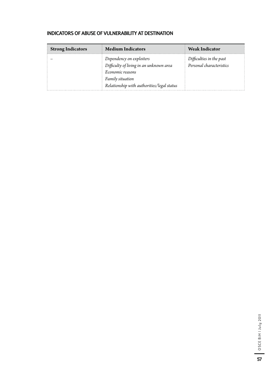#### INDICATORS OF ABUSE OF VULNERABILITY AT DESTINATION

| <b>Strong Indicators</b> | <b>Medium Indicators</b>                                                                                                                                  | <b>Weak Indicator</b>                                |
|--------------------------|-----------------------------------------------------------------------------------------------------------------------------------------------------------|------------------------------------------------------|
|                          | Dependency on exploiters<br>Difficulty of living in an unknown area<br>Economic reasons<br>Family situation<br>Relationship with authorities/legal status | Difficulties in the past<br>Personal characteristics |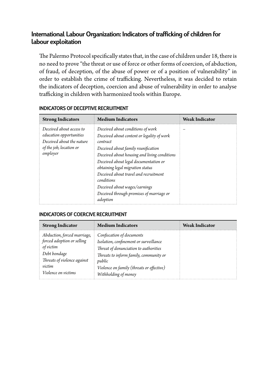## International Labour Organization: Indicators of trafficking of children for labour exploitation

The Palermo Protocol specifically states that, in the case of children under 18, there is no need to prove "the threat or use of force or other forms of coercion, of abduction, of fraud, of deception, of the abuse of power or of a position of vulnerability" in order to establish the crime of trafficking. Nevertheless, it was decided to retain the indicators of deception, coercion and abuse of vulnerability in order to analyse trafficking in children with harmonized tools within Europe.

| <b>Strong Indicators</b>                                                                                                | <b>Medium Indicators</b>                                                                                                                                                                                                                                                                                                                                                                                        | <b>Weak Indicator</b> |
|-------------------------------------------------------------------------------------------------------------------------|-----------------------------------------------------------------------------------------------------------------------------------------------------------------------------------------------------------------------------------------------------------------------------------------------------------------------------------------------------------------------------------------------------------------|-----------------------|
| Deceived about access to<br>education opportunities<br>Deceived about the nature<br>of the job, location or<br>employer | Deceived about conditions of work<br>Deceived about content or legality of work<br>contract<br>Deceived about family reunification<br>Deceived about housing and living conditions<br>Deceived about legal documentation or<br>obtaining legal migration status<br>Deceived about travel and recruitment<br>conditions<br>Deceived about wages/earnings<br>Deceived through promises of marriage or<br>adoption |                       |

#### INDICATORS OF DECEPTIVE RECRUITMENT

#### INDICATORS OF COERCIVE RECRUITMENT

| <b>Strong Indicator</b>                                                                                                                                | <b>Medium Indicators</b>                                                                                                                                                                                                              | <b>Weak Indicator</b> |
|--------------------------------------------------------------------------------------------------------------------------------------------------------|---------------------------------------------------------------------------------------------------------------------------------------------------------------------------------------------------------------------------------------|-----------------------|
| Abduction, forced marriage,<br>forced adoption or selling<br>of victim<br>Debt bondage<br>Threats of violence against<br>victim<br>Violence on victims | Confiscation of documents<br>Isolation, confinement or surveillance<br>Threat of denunciation to authorities<br>Threats to inform family, community or<br>public<br>Violence on family (threats or effective)<br>Withholding of money |                       |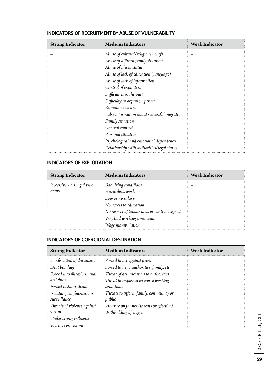| <b>Strong Indicator</b> | <b>Medium Indicators</b>                     | <b>Weak Indicator</b> |
|-------------------------|----------------------------------------------|-----------------------|
|                         | Abuse of cultural/religious beliefs          |                       |
|                         | Abuse of difficult family situation          |                       |
|                         | Abuse of illegal status                      |                       |
|                         | Abuse of lack of education (language)        |                       |
|                         | Abuse of lack of information                 |                       |
|                         | Control of exploiters                        |                       |
|                         | Difficulties in the past                     |                       |
|                         | Difficulty in organizing travel              |                       |
|                         | Economic reasons                             |                       |
|                         | False information about successful migration |                       |
|                         | Family situation                             |                       |
|                         | General context                              |                       |
|                         | Personal situation                           |                       |
|                         | Psychological and emotional dependency       |                       |
|                         | Relationship with authorities/legal status   |                       |

#### INDICATORS OF RECRUITMENT BY ABUSE OF VULNERABILITY

#### INDICATORS OF EXPLOITATION

| <b>Strong Indicator</b>            | <b>Medium Indicators</b>                                                                                                                                                                         | <b>Weak Indicator</b> |
|------------------------------------|--------------------------------------------------------------------------------------------------------------------------------------------------------------------------------------------------|-----------------------|
| Excessive working days or<br>hours | <b>Bad living conditions</b><br>Hazardous work<br>Low or no salary<br>No access to education<br>No respect of labour laws or contract signed<br>Very bad working conditions<br>Wage manipulation |                       |

#### INDICATORS OF COERCION AT DESTINATION

| <b>Strong Indicator</b>                   | <b>Medium Indicators</b>                         | <b>Weak Indicator</b> |
|-------------------------------------------|--------------------------------------------------|-----------------------|
| Confiscation of documents                 | Forced to act against peers                      |                       |
| Debt bondage                              | Forced to lie to authorities, family, etc.       |                       |
| Forced into illicit/criminal              | Threat of denunciation to authorities            |                       |
| activities                                | Threat to impose even worse working              |                       |
| Forced tasks or clients                   | conditions                                       |                       |
| Isolation, confinement or<br>surveillance | Threats to inform family, community or<br>public |                       |
| Threats of violence against               | Violence on family (threats or effective)        |                       |
| victim                                    | Withholding of wages                             |                       |
| Under strong influence                    |                                                  |                       |
| Violence on victims                       |                                                  |                       |

OSCE BiH | July 2011 OSCE BiH | July 2011